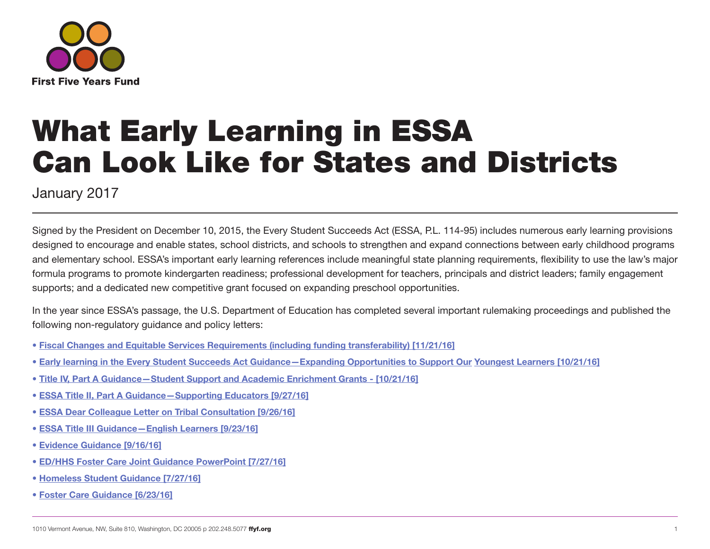

# What Early Learning in ESSA Can Look Like for States and Districts

January 2017

Signed by the President on December 10, 2015, the Every Student Succeeds Act (ESSA, P.L. 114-95) includes numerous early learning provisions designed to encourage and enable states, school districts, and schools to strengthen and expand connections between early childhood programs and elementary school. ESSA's important early learning references include meaningful state planning requirements, flexibility to use the law's major formula programs to promote kindergarten readiness; professional development for teachers, principals and district leaders; family engagement supports; and a dedicated new competitive grant focused on expanding preschool opportunities.

In the year since ESSA's passage, the U.S. Department of Education has completed several important rulemaking proceedings and published the following non-regulatory guidance and policy letters:

- [Fiscal Changes and Equitable Services Requirements \(including funding transferability\) \[11/21/16\]](https://www2.ed.gov/policy/elsec/leg/essa/essaguidance160477.pdf)
- [Early learning in the Every Student Succeeds Act Guidance—Expanding Opportunities to Support Our](https://www2.ed.gov/policy/elsec/leg/essa/essaelguidance10202016.pdf) Youngest Learners [10/21/16]
- [Title IV, Part A Guidance—Student Support and Academic Enrichment Grants \[10/21/16\]](https://www2.ed.gov/policy/elsec/leg/essa/essassaegrantguid10212016.pdf)
- [ESSA Title II, Part A Guidance—Supporting Educators \[9/27/16\]](https://www2.ed.gov/policy/elsec/leg/essa/essatitleiipartaguidance.pdf)
- [ESSA Dear Colleague Letter on Tribal Consultation \[9/26/16\]](https://www2.ed.gov/policy/elsec/leg/essa/faq/essafaqtribalconsultation.pdf)
- [ESSA Title III Guidance—English Learners \[9/23/16\]](https://www2.ed.gov/policy/elsec/leg/essa/essatitleiiiguidenglishlearners92016.pdf)
- [Evidence Guidance \[9/16/16\]](https://www2.ed.gov/policy/elsec/leg/essa/guidanceuseseinvestment.pdf)
- [ED/HHS Foster Care Joint Guidance PowerPoint \[7/27/16\]](https://www2.ed.gov/policy/elsec/leg/essa/hhsedfostercarewebinarppt72716.pdf)
- [Homeless Student Guidance \[7/27/16\]](https://www2.ed.gov/policy/elsec/leg/essa/160240ehcyguidance072716.pdf)
- [Foster Care Guidance \[6/23/16\]](https://www2.ed.gov/policy/elsec/leg/essa/edhhsfostercarenonregulatorguide.pdf)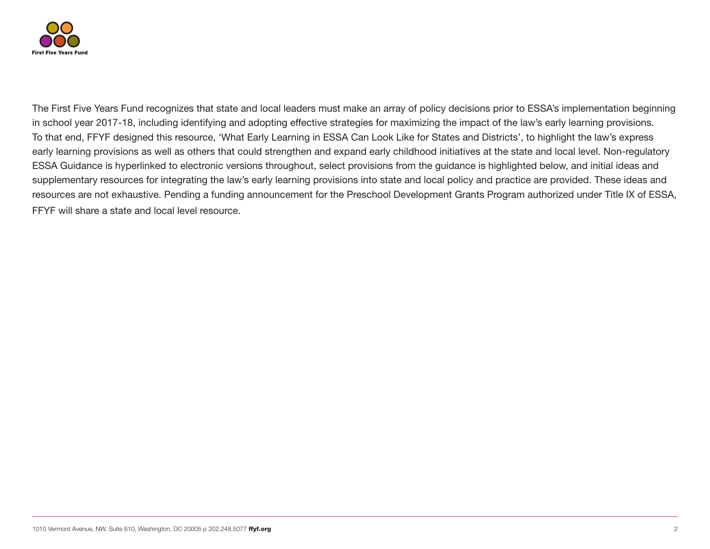

The First Five Years Fund recognizes that state and local leaders must make an array of policy decisions prior to ESSA's implementation beginning in school year 2017-18, including identifying and adopting effective strategies for maximizing the impact of the law's early learning provisions. To that end, FFYF designed this resource, 'What Early Learning in ESSA Can Look Like for States and Districts', to highlight the law's express early learning provisions as well as others that could strengthen and expand early childhood initiatives at the state and local level. Non-regulatory ESSA Guidance is hyperlinked to electronic versions throughout, select provisions from the guidance is highlighted below, and initial ideas and supplementary resources for integrating the law's early learning provisions into state and local policy and practice are provided. These ideas and resources are not exhaustive. Pending a funding announcement for the Preschool Development Grants Program authorized under Title IX of ESSA, FFYF will share a state and local level resource.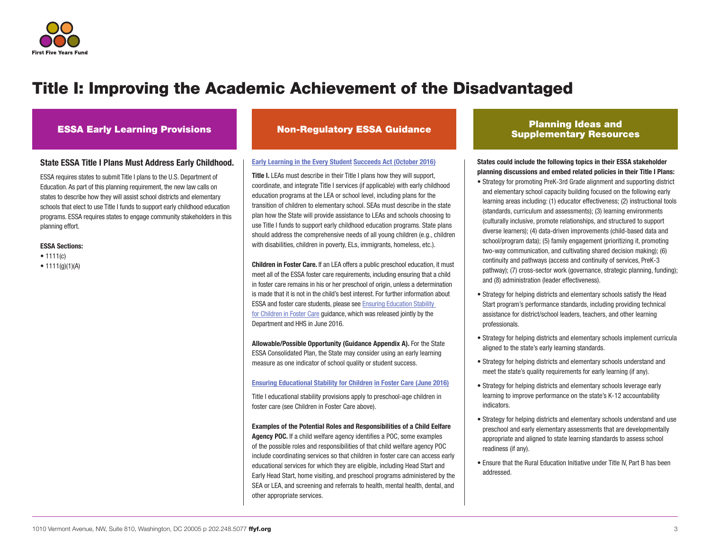

### State ESSA Title I Plans Must Address Early Childhood.

ESSA requires states to submit Title I plans to the U.S. Department of Education. As part of this planning requirement, the new law calls on states to describe how they will assist school districts and elementary schools that elect to use Title I funds to support early childhood education programs. ESSA requires states to engage community stakeholders in this planning effort.

#### ESSA Sections:

- $1111(c)$
- $1111(q)(1)(A)$

#### [Early Learning in the Every Student](https://www2.ed.gov/policy/elsec/leg/essa/essaelguidance10202016.pdf) Succeeds Act (October 2016)

Title I. LEAs must describe in their Title I plans how they will support. coordinate, and integrate Title I services (if applicable) with early childhood education programs at the LEA or school level, including plans for the transition of children to elementary school. SEAs must describe in the state plan how the State will provide assistance to LEAs and schools choosing to use Title I funds to support early childhood education programs. State plans should address the comprehensive needs of all young children (e.g., children with disabilities, children in poverty, ELs, immigrants, homeless, etc.).

Children in Foster Care. If an LEA offers a public preschool education, it must meet all of the ESSA foster care requirements, including ensuring that a child in foster care remains in his or her preschool of origin, unless a determination is made that it is not in the child's best interest. For further information about ESSA and foster care students, please see [Ensuring Education Stability](https://www2.ed.gov/policy/elsec/leg/essa/edhhsfostercarenonregulatorguide.pdf)  [for Children in Foster Care](https://www2.ed.gov/policy/elsec/leg/essa/edhhsfostercarenonregulatorguide.pdf) guidance, which was released jointly by the Department and HHS in June 2016.

Allowable/Possible Opportunity (Guidance Appendix A). For the State ESSA Consolidated Plan, the State may consider using an early learning measure as one indicator of school quality or student success.

[Ensuring Educational Stability for Children](https://www2.ed.gov/policy/elsec/leg/essa/edhhsfostercarenonregulatorguide.pdf) in Foster Care (June 2016)

Title I educational stability provisions apply to preschool-age children in foster care (see Children in Foster Care above).

Examples of the Potential Roles and Responsibilities of a Child Eelfare Agency POC. If a child welfare agency identifies a POC, some examples of the possible roles and responsibilities of that child welfare agency POC include coordinating services so that children in foster care can access early educational services for which they are eligible, including Head Start and Early Head Start, home visiting, and preschool programs administered by the SEA or LEA, and screening and referrals to health, mental health, dental, and other appropriate services.

### ESSA Early Learning Provisions Non-Regulatory ESSA Guidance Planning Ideas and Supplementary Resources

States could include the following topics in their ESSA stakeholder planning discussions and embed related policies in their Title I Plans:

- Strategy for promoting PreK-3rd Grade alignment and supporting district and elementary school capacity building focused on the following early learning areas including: (1) educator effectiveness; (2) instructional tools (standards, curriculum and assessments); (3) learning environments (culturally inclusive, promote relationships, and structured to support diverse learners); (4) data-driven improvements (child-based data and school/program data); (5) family engagement (prioritizing it, promoting two-way communication, and cultivating shared decision making); (6) continuity and pathways (access and continuity of services, PreK-3 pathway); (7) cross-sector work (governance, strategic planning, funding); and (8) administration (leader effectiveness).
- Strategy for helping districts and elementary schools satisfy the Head Start program's performance standards, including providing technical assistance for district/school leaders, teachers, and other learning professionals.
- Strategy for helping districts and elementary schools implement curricula aligned to the state's early learning standards.
- Strategy for helping districts and elementary schools understand and meet the state's quality requirements for early learning (if any).
- Strategy for helping districts and elementary schools leverage early learning to improve performance on the state's K-12 accountability indicators.
- Strategy for helping districts and elementary schools understand and use preschool and early elementary assessments that are developmentally appropriate and aligned to state learning standards to assess school readiness (if any).
- Ensure that the Rural Education Initiative under Title IV, Part B has been addressed.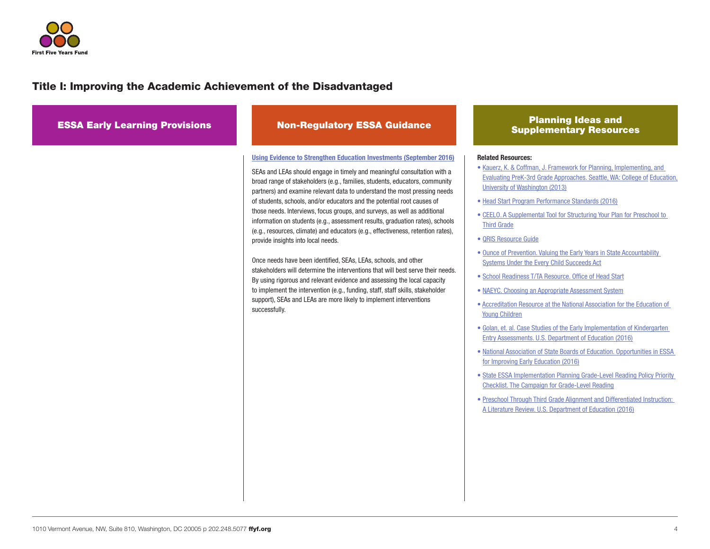

| <b>ESSA Early Learning Provisions</b> | <b>Non-Regulatory ESSA Guidance</b>                                                                                                                                                                                                                                                                                                                                                                                                                                                                                                                                                                                                                                                                                                                                                                                                                                                                                                                                                                                                                                                              | <b>Planning Ideas and</b><br><b>Supplementary Resources</b>                                                                                                                                                                                                                                                                                                                                                                                                                                                                                                                                                                                                                                                                                                                                                                                                                                                                                                                                                                                                                                                                                                                                                                                                                                      |
|---------------------------------------|--------------------------------------------------------------------------------------------------------------------------------------------------------------------------------------------------------------------------------------------------------------------------------------------------------------------------------------------------------------------------------------------------------------------------------------------------------------------------------------------------------------------------------------------------------------------------------------------------------------------------------------------------------------------------------------------------------------------------------------------------------------------------------------------------------------------------------------------------------------------------------------------------------------------------------------------------------------------------------------------------------------------------------------------------------------------------------------------------|--------------------------------------------------------------------------------------------------------------------------------------------------------------------------------------------------------------------------------------------------------------------------------------------------------------------------------------------------------------------------------------------------------------------------------------------------------------------------------------------------------------------------------------------------------------------------------------------------------------------------------------------------------------------------------------------------------------------------------------------------------------------------------------------------------------------------------------------------------------------------------------------------------------------------------------------------------------------------------------------------------------------------------------------------------------------------------------------------------------------------------------------------------------------------------------------------------------------------------------------------------------------------------------------------|
|                                       | <b>Using Evidence to Strengthen Education Investments (September 2016)</b><br>SEAs and LEAs should engage in timely and meaningful consultation with a<br>broad range of stakeholders (e.g., families, students, educators, community<br>partners) and examine relevant data to understand the most pressing needs<br>of students, schools, and/or educators and the potential root causes of<br>those needs. Interviews, focus groups, and surveys, as well as additional<br>information on students (e.g., assessment results, graduation rates), schools<br>(e.g., resources, climate) and educators (e.g., effectiveness, retention rates),<br>provide insights into local needs.<br>Once needs have been identified, SEAs, LEAs, schools, and other<br>stakeholders will determine the interventions that will best serve their needs.<br>By using rigorous and relevant evidence and assessing the local capacity<br>to implement the intervention (e.g., funding, staff, staff skills, stakeholder<br>support), SEAs and LEAs are more likely to implement interventions<br>successfully. | <b>Related Resources:</b><br>• Kauerz, K. & Coffman, J. Framework for Planning, Implementing, and<br>Evaluating PreK-3rd Grade Approaches. Seattle, WA: College of Education,<br>University of Washington (2013)<br>• Head Start Program Performance Standards (2016)<br>• CEELO. A Supplemental Tool for Structuring Your Plan for Preschool to<br><b>Third Grade</b><br>• QRIS Resource Guide<br>. Ounce of Prevention. Valuing the Early Years in State Accountability<br><b>Systems Under the Every Child Succeeds Act</b><br>• School Readiness T/TA Resource. Office of Head Start<br>• NAEYC. Choosing an Appropriate Assessment System<br>• Accreditation Resource at the National Association for the Education of<br><b>Young Children</b><br>· Golan, et. al. Case Studies of the Early Implementation of Kindergarten<br>Entry Assessments. U.S. Department of Education (2016)<br>. National Association of State Boards of Education. Opportunities in ESSA<br>for Improving Early Education (2016)<br>• State ESSA Implementation Planning Grade-Level Reading Policy Priority<br><b>Checklist. The Campaign for Grade-Level Reading</b><br>. Preschool Through Third Grade Alignment and Differentiated Instruction:<br>A Literature Review. U.S. Department of Education (2016) |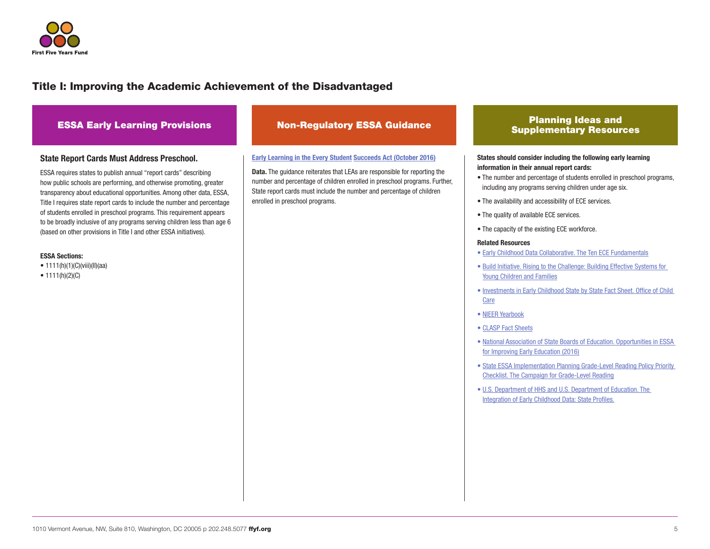

## ESSA Early Learning Provisions Non-Regulatory ESSA Guidance Planning Ideas and

#### State Report Cards Must Address Preschool.

ESSA requires states to publish annual "report cards" describing how public schools are performing, and otherwise promoting, greater transparency about educational opportunities. Among other data, ESSA, Title I requires state report cards to include the number and percentage of students enrolled in preschool programs. This requirement appears to be broadly inclusive of any programs serving children less than age 6 (based on other provisions in Title I and other ESSA initiatives).

#### ESSA Sections:

• 1111(h)(1)(C)(viii)(ll)(aa)

•  $1111(h)(2)(C)$ 

#### [Early Learning in the Every Student](https://www2.ed.gov/policy/elsec/leg/essa/essaelguidance10202016.pdf) Succeeds Act (October 2016)

**Data.** The quidance reiterates that LEAs are responsible for reporting the number and percentage of children enrolled in preschool programs. Further, State report cards must include the number and percentage of children enrolled in preschool programs.

## Supplementary Resources

#### States should consider including the following early learning information in their annual report cards:

- The number and percentage of students enrolled in preschool programs, including any programs serving children under age six.
- The availability and accessibility of ECE services.
- The quality of available ECE services.
- The capacity of the existing ECE workforce.

#### Related Resources

- • [Early Childhood Data Collaborative. The Ten ECE Fundamentals](http://www.ecedata.org)
- • [Build Initiative. Rising to the Challenge: Building Effective Systems for](http://www.childtrends.org/wp-content/uploads/2015/08/2015-35BuildChap7.pdf)  [Young Children and Families](http://www.childtrends.org/wp-content/uploads/2015/08/2015-35BuildChap7.pdf)
- • [Investments in Early Childhood State by State Fact Sheet. Office of Child](https://www.acf.hhs.gov/occ/investments-in-early-childhood)  [Care](https://www.acf.hhs.gov/occ/investments-in-early-childhood)
- • [NIEER Yearbook](http://nieer.org/state-preschool-yearbooks)
- • [CLASP Fact Sheets](http://www.clasp.org/in-the-states)
- • [National Association of State Boards of Education. Opportunities in ESSA](http://www.nasbe.org/wp-content/uploads/Dichter_ESSAECE-Final.pdf)  [for Improving Early Education \(2016\)](http://www.nasbe.org/wp-content/uploads/Dichter_ESSAECE-Final.pdf)
- • [State ESSA Implementation Planning Grade-Level Reading Policy Priority](http://gradelevelreading.net/wp-content/uploads/2016/10/GLR_ESSA-checklist-for-ESSA-state-implementation-planning-10_12_16-1-1.pdf)  [Checklist. The Campaign for Grade-Level Reading](http://gradelevelreading.net/wp-content/uploads/2016/10/GLR_ESSA-checklist-for-ESSA-state-implementation-planning-10_12_16-1-1.pdf)
- • [U.S. Department of HHS and U.S. Department of Education. The](https://www2.ed.gov/about/inits/ed/earlylearning/files/integration-of-early-childhood-data.pdf)  [Integration of Early Childhood Data: State Profiles.](https://www2.ed.gov/about/inits/ed/earlylearning/files/integration-of-early-childhood-data.pdf)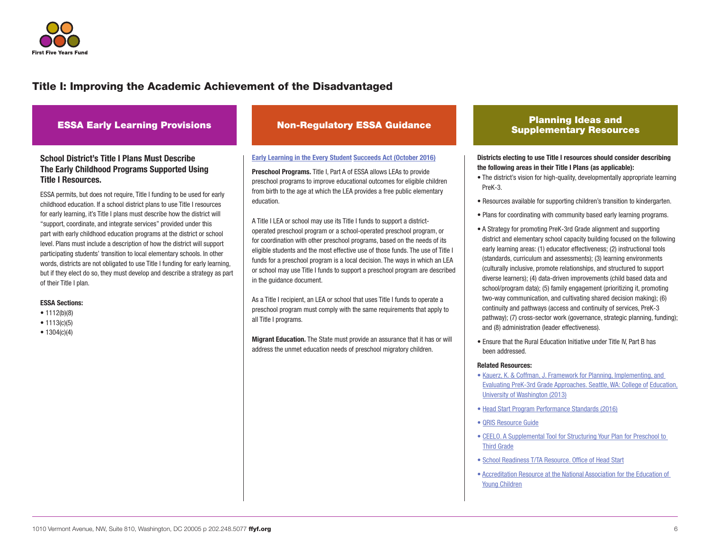

### School District's Title I Plans Must Describe The Early Childhood Programs Supported Using Title I Resources.

ESSA permits, but does not require, Title I funding to be used for early childhood education. If a school district plans to use Title I resources for early learning, it's Title I plans must describe how the district will "support, coordinate, and integrate services" provided under this part with early childhood education programs at the district or school level. Plans must include a description of how the district will support participating students' transition to local elementary schools. In other words, districts are not obligated to use Title I funding for early learning, but if they elect do so, they must develop and describe a strategy as part of their Title I plan.

#### ESSA Sections:

- 1112(b)(8)
- 1113(c)(5)
- 1304(c)(4)

#### [Early Learning in the Every Student](https://www2.ed.gov/policy/elsec/leg/essa/essaelguidance10202016.pdf) Succeeds Act (October 2016)

**Preschool Programs.** Title I. Part A of ESSA allows LEAs to provide preschool programs to improve educational outcomes for eligible children from birth to the age at which the LEA provides a free public elementary education.

A Title I LEA or school may use its Title I funds to support a districtoperated preschool program or a school-operated preschool program, or for coordination with other preschool programs, based on the needs of its eligible students and the most effective use of those funds. The use of Title I funds for a preschool program is a local decision. The ways in which an LEA or school may use Title I funds to support a preschool program are described in the guidance document.

As a Title I recipient, an LEA or school that uses Title I funds to operate a preschool program must comply with the same requirements that apply to all Title I programs.

Migrant Education. The State must provide an assurance that it has or will address the unmet education needs of preschool migratory children.

### ESSA Early Learning Provisions Non-Regulatory ESSA Guidance Planning Ideas and Planning Ideas and Supplementary Resources

#### Districts electing to use Title I resources should consider describing the following areas in their Title I Plans (as applicable):

- The district's vision for high-quality, developmentally appropriate learning PreK-3.
- Resources available for supporting children's transition to kindergarten.
- Plans for coordinating with community based early learning programs.
- A Strategy for promoting PreK-3rd Grade alignment and supporting district and elementary school capacity building focused on the following early learning areas: (1) educator effectiveness; (2) instructional tools (standards, curriculum and assessments); (3) learning environments (culturally inclusive, promote relationships, and structured to support diverse learners); (4) data-driven improvements (child based data and school/program data); (5) family engagement (prioritizing it, promoting two-way communication, and cultivating shared decision making); (6) continuity and pathways (access and continuity of services, PreK-3 pathway); (7) cross-sector work (governance, strategic planning, funding); and (8) administration (leader effectiveness).
- Ensure that the Rural Education Initiative under Title IV, Part B has been addressed.

#### Related Resources:

- [Kauerz, K. & Coffman, J. Framework for Planning, Implementing, and](https://depts.washington.edu/pthru3/PreK-3rd_Framework_Legal%20paper.pdf)  [Evaluating PreK-3rd Grade Approaches. Seattle, WA: College of](https://depts.washington.edu/pthru3/PreK-3rd_Framework_Legal%20paper.pdf) Education, [University of Washington \(2013\)](https://depts.washington.edu/pthru3/PreK-3rd_Framework_Legal%20paper.pdf)
- • [Head Start Program Performance Standards \(2016\)](http://eclkc.ohs.acf.hhs.gov/policy/presenting)
- • [QRIS Resource Guide](https://qrisguide.acf.hhs.gov/index.cfm?do=resourceguide)
- • [CEELO. A Supplemental Tool for Structuring Your Plan for Preschool to](http://ceelo.org/wp-content/uploads/2016/11/P-3Supplement_DevelopingComprehensiveStatePlanESSA.pdf)  [Third Grade](http://ceelo.org/wp-content/uploads/2016/11/P-3Supplement_DevelopingComprehensiveStatePlanESSA.pdf)
- • [School Readiness T/TA Resource. Office of Head Start](https://eclkc.ohs.acf.hhs.gov/hslc/tta-system/health/school-readiness)
- • [Accreditation Resource at the National Association for the Education of](https://www.naeyc.org/academy/)  [Young Children](https://www.naeyc.org/academy/)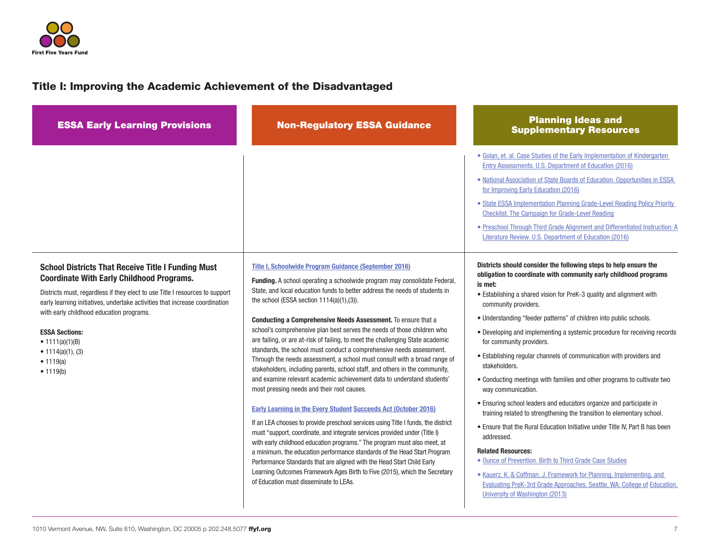

| <b>ESSA Early Learning Provisions</b>                                                                                                                                                                                                                                                                                                                                                                                        | <b>Non-Regulatory ESSA Guidance</b>                                                                                                                                                                                                                                                                                                                                                                                                                                                                                                                                                                                                                                                                                                                                                                                                                                                                                                                                                                                                                                                                                                                                                                                                                                                                                                                                                                                                                                       | <b>Planning Ideas and</b><br><b>Supplementary Resources</b>                                                                                                                                                                                                                                                                                                                                                                                                                                                                                                                                                                                                                                                                                                                                                                                                                                                                                                                                                                                                                                                                                                                                                                                                                                                                                                                                                                                                                                                                                                                                                                                                                                       |
|------------------------------------------------------------------------------------------------------------------------------------------------------------------------------------------------------------------------------------------------------------------------------------------------------------------------------------------------------------------------------------------------------------------------------|---------------------------------------------------------------------------------------------------------------------------------------------------------------------------------------------------------------------------------------------------------------------------------------------------------------------------------------------------------------------------------------------------------------------------------------------------------------------------------------------------------------------------------------------------------------------------------------------------------------------------------------------------------------------------------------------------------------------------------------------------------------------------------------------------------------------------------------------------------------------------------------------------------------------------------------------------------------------------------------------------------------------------------------------------------------------------------------------------------------------------------------------------------------------------------------------------------------------------------------------------------------------------------------------------------------------------------------------------------------------------------------------------------------------------------------------------------------------------|---------------------------------------------------------------------------------------------------------------------------------------------------------------------------------------------------------------------------------------------------------------------------------------------------------------------------------------------------------------------------------------------------------------------------------------------------------------------------------------------------------------------------------------------------------------------------------------------------------------------------------------------------------------------------------------------------------------------------------------------------------------------------------------------------------------------------------------------------------------------------------------------------------------------------------------------------------------------------------------------------------------------------------------------------------------------------------------------------------------------------------------------------------------------------------------------------------------------------------------------------------------------------------------------------------------------------------------------------------------------------------------------------------------------------------------------------------------------------------------------------------------------------------------------------------------------------------------------------------------------------------------------------------------------------------------------------|
| <b>School Districts That Receive Title I Funding Must</b><br><b>Coordinate With Early Childhood Programs.</b><br>Districts must, regardless if they elect to use Title I resources to support<br>early learning initiatives, undertake activities that increase coordination<br>with early childhood education programs.<br><b>ESSA Sections:</b><br>• $1111(a)(1)(B)$<br>• $1114(a)(1)$ , (3)<br>• $1119(a)$<br>• $1119(b)$ | Title I, Schoolwide Program Guidance (September 2016)<br><b>Funding.</b> A school operating a schoolwide program may consolidate Federal,<br>State, and local education funds to better address the needs of students in<br>the school (ESSA section $1114(a)(1),(3)$ ).<br>Conducting a Comprehensive Needs Assessment. To ensure that a<br>school's comprehensive plan best serves the needs of those children who<br>are failing, or are at-risk of failing, to meet the challenging State academic<br>standards, the school must conduct a comprehensive needs assessment.<br>Through the needs assessment, a school must consult with a broad range of<br>stakeholders, including parents, school staff, and others in the community,<br>and examine relevant academic achievement data to understand students'<br>most pressing needs and their root causes.<br><b>Early Learning in the Every Student Succeeds Act (October 2016)</b><br>If an LEA chooses to provide preschool services using Title I funds, the district<br>must "support, coordinate, and integrate services provided under (Title I)<br>with early childhood education programs." The program must also meet, at<br>a minimum, the education performance standards of the Head Start Program<br>Performance Standards that are aligned with the Head Start Child Early<br>Learning Outcomes Framework Ages Birth to Five (2015), which the Secretary<br>of Education must disseminate to LEAs. | • Golan, et. al. Case Studies of the Early Implementation of Kindergarten<br>Entry Assessments. U.S. Department of Education (2016)<br>. National Association of State Boards of Education. Opportunities in ESSA<br>for Improving Early Education (2016)<br>• State ESSA Implementation Planning Grade-Level Reading Policy Priority<br><b>Checklist. The Campaign for Grade-Level Reading</b><br>• Preschool Through Third Grade Alignment and Differentiated Instruction: A<br>Literature Review. U.S. Department of Education (2016)<br>Districts should consider the following steps to help ensure the<br>obligation to coordinate with community early childhood programs<br>is met:<br>• Establishing a shared vision for PreK-3 quality and alignment with<br>community providers.<br>• Understanding "feeder patterns" of children into public schools.<br>• Developing and implementing a systemic procedure for receiving records<br>for community providers.<br>• Establishing regular channels of communication with providers and<br>stakeholders.<br>• Conducting meetings with families and other programs to cultivate two<br>way communication.<br>• Ensuring school leaders and educators organize and participate in<br>training related to strengthening the transition to elementary school.<br>• Ensure that the Rural Education Initiative under Title IV, Part B has been<br>addressed.<br><b>Related Resources:</b><br>• Ounce of Prevention. Birth to Third Grade Case Studies<br>• Kauerz, K. & Coffman, J. Framework for Planning, Implementing, and<br>Evaluating PreK-3rd Grade Approaches. Seattle, WA: College of Education,<br>University of Washington (2013) |
|                                                                                                                                                                                                                                                                                                                                                                                                                              |                                                                                                                                                                                                                                                                                                                                                                                                                                                                                                                                                                                                                                                                                                                                                                                                                                                                                                                                                                                                                                                                                                                                                                                                                                                                                                                                                                                                                                                                           |                                                                                                                                                                                                                                                                                                                                                                                                                                                                                                                                                                                                                                                                                                                                                                                                                                                                                                                                                                                                                                                                                                                                                                                                                                                                                                                                                                                                                                                                                                                                                                                                                                                                                                   |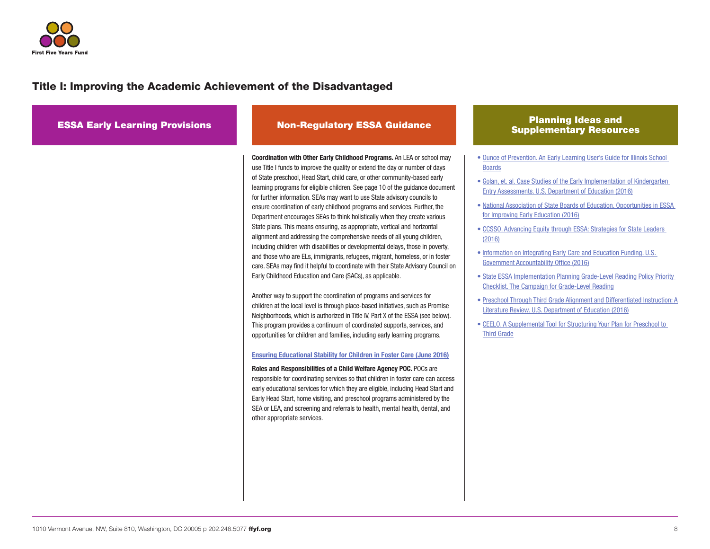

| <b>ESSA Early Learning Provisions</b> | <b>Non-Regulatory ESSA Guidance</b>                                                                                                                                                                                                                                                                                                                                                                                                                                                                                                                                                                                                                                                                                                                                                                                                                                                                                                                                                                                                                                                                                                                                                                                                                                                                                                                                                                                                                                                                                                                                                                                                                                                                                                                                                                                                                                                                                                                                                     | <b>Planning Ideas and</b><br><b>Supplementary Resources</b>                                                                                                                                                                                                                                                                                                                                                                                                                                                                                                                                                                                                                                                                                                                                                                                                                                                                                 |
|---------------------------------------|-----------------------------------------------------------------------------------------------------------------------------------------------------------------------------------------------------------------------------------------------------------------------------------------------------------------------------------------------------------------------------------------------------------------------------------------------------------------------------------------------------------------------------------------------------------------------------------------------------------------------------------------------------------------------------------------------------------------------------------------------------------------------------------------------------------------------------------------------------------------------------------------------------------------------------------------------------------------------------------------------------------------------------------------------------------------------------------------------------------------------------------------------------------------------------------------------------------------------------------------------------------------------------------------------------------------------------------------------------------------------------------------------------------------------------------------------------------------------------------------------------------------------------------------------------------------------------------------------------------------------------------------------------------------------------------------------------------------------------------------------------------------------------------------------------------------------------------------------------------------------------------------------------------------------------------------------------------------------------------------|---------------------------------------------------------------------------------------------------------------------------------------------------------------------------------------------------------------------------------------------------------------------------------------------------------------------------------------------------------------------------------------------------------------------------------------------------------------------------------------------------------------------------------------------------------------------------------------------------------------------------------------------------------------------------------------------------------------------------------------------------------------------------------------------------------------------------------------------------------------------------------------------------------------------------------------------|
|                                       | <b>Coordination with Other Early Childhood Programs.</b> An LEA or school may<br>use Title I funds to improve the quality or extend the day or number of days<br>of State preschool, Head Start, child care, or other community-based early<br>learning programs for eligible children. See page 10 of the guidance document<br>for further information. SEAs may want to use State advisory councils to<br>ensure coordination of early childhood programs and services. Further, the<br>Department encourages SEAs to think holistically when they create various<br>State plans. This means ensuring, as appropriate, vertical and horizontal<br>alignment and addressing the comprehensive needs of all young children,<br>including children with disabilities or developmental delays, those in poverty,<br>and those who are ELs, immigrants, refugees, migrant, homeless, or in foster<br>care. SEAs may find it helpful to coordinate with their State Advisory Council on<br>Early Childhood Education and Care (SACs), as applicable.<br>Another way to support the coordination of programs and services for<br>children at the local level is through place-based initiatives, such as Promise<br>Neighborhoods, which is authorized in Title IV, Part X of the ESSA (see below).<br>This program provides a continuum of coordinated supports, services, and<br>opportunities for children and families, including early learning programs.<br><b>Ensuring Educational Stability for Children in Foster Care (June 2016)</b><br>Roles and Responsibilities of a Child Welfare Agency POC. POCs are<br>responsible for coordinating services so that children in foster care can access<br>early educational services for which they are eligible, including Head Start and<br>Early Head Start, home visiting, and preschool programs administered by the<br>SEA or LEA, and screening and referrals to health, mental health, dental, and<br>other appropriate services. | • Ounce of Prevention. An Early Learning User's Guide for Illinois School<br><b>Boards</b><br>• Golan, et. al. Case Studies of the Early Implementation of Kindergarten<br>Entry Assessments. U.S. Department of Education (2016)<br>. National Association of State Boards of Education. Opportunities in ESSA<br>for Improving Early Education (2016)<br>• CCSSO. Advancing Equity through ESSA: Strategies for State Leaders<br>(2016)<br>• Information on Integrating Early Care and Education Funding, U.S.<br>Government Accountability Office (2016)<br>• State ESSA Implementation Planning Grade-Level Reading Policy Priority<br><b>Checklist. The Campaign for Grade-Level Reading</b><br>• Preschool Through Third Grade Alignment and Differentiated Instruction: A<br>Literature Review. U.S. Department of Education (2016)<br>• CEELO. A Supplemental Tool for Structuring Your Plan for Preschool to<br><b>Third Grade</b> |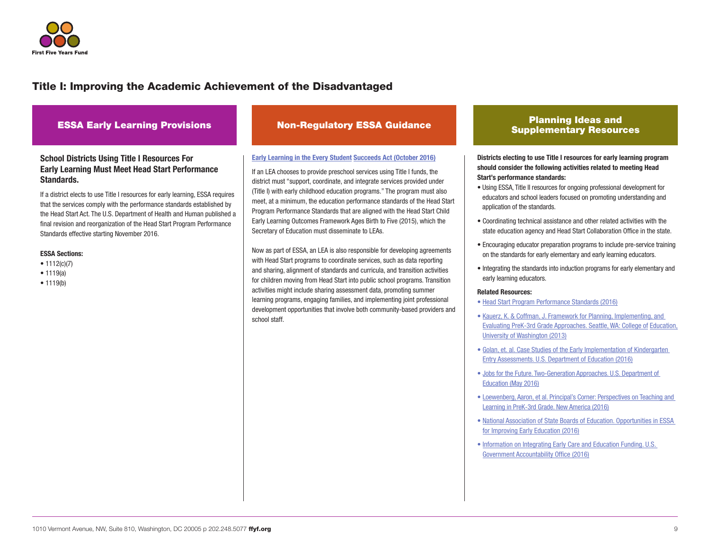

ESSA Early Learning Provisions Non-Regulatory ESSA Guidance Planning Ideas and<br>Research Constanting Provisions Non-Regulatory ESSA Guidance

### School Districts Using Title I Resources For Early Learning Must Meet Head Start Performance Standards.

If a district elects to use Title I resources for early learning, ESSA requires that the services comply with the performance standards established by the Head Start Act. The U.S. Department of Health and Human published a final revision and reorganization of the Head Start Program Performance Standards effective starting November 2016.

#### ESSA Sections:

- 1112(c)(7)
- 1119(a)
- 1119(b)

#### [Early Learning in the Every Student](https://www2.ed.gov/policy/elsec/leg/essa/essaelguidance10202016.pdf) Succeeds Act (October 2016)

If an LEA chooses to provide preschool services using Title I funds, the district must "support, coordinate, and integrate services provided under (Title I) with early childhood education programs." The program must also meet, at a minimum, the education performance standards of the Head Start Program Performance Standards that are aligned with the Head Start Child Early Learning Outcomes Framework Ages Birth to Five (2015), which the Secretary of Education must disseminate to LEAs.

Now as part of ESSA, an LEA is also responsible for developing agreements with Head Start programs to coordinate services, such as data reporting and sharing, alignment of standards and curricula, and transition activities for children moving from Head Start into public school programs. Transition activities might include sharing assessment data, promoting summer learning programs, engaging families, and implementing joint professional development opportunities that involve both community-based providers and school staff.

## Supplementary Resources

Districts electing to use Title I resources for early learning program should consider the following activities related to meeting Head Start's performance standards:

- Using ESSA, Title II resources for ongoing professional development for educators and school leaders focused on promoting understanding and application of the standards.
- Coordinating technical assistance and other related activities with the state education agency and Head Start Collaboration Office in the state.
- Encouraging educator preparation programs to include pre-service training on the standards for early elementary and early learning educators.
- Integrating the standards into induction programs for early elementary and early learning educators.

#### Related Resources:

- • [Head Start Program Performance Standards \(2016\)](http://eclkc.ohs.acf.hhs.gov/policy/presenting)
- [Kauerz, K. & Coffman, J. Framework for Planning, Implementing, and](https://depts.washington.edu/pthru3/PreK-3rd_Framework_Legal%20paper.pdf)  [Evaluating PreK-3rd Grade Approaches. Seattle, WA: College of](https://depts.washington.edu/pthru3/PreK-3rd_Framework_Legal%20paper.pdf) Education, [University of Washington \(2013\)](https://depts.washington.edu/pthru3/PreK-3rd_Framework_Legal%20paper.pdf)
- • [Golan, et. al. Case Studies of the Early Implementation of Kindergarten](https://www2.ed.gov/rschstat/eval/disadv/kindergarten-entry-assessments/report.pdf)  [Entry Assessments. U.S. Department of Education \(2016\)](https://www2.ed.gov/rschstat/eval/disadv/kindergarten-entry-assessments/report.pdf)
- • [Jobs for the Future. Two-Generation Approaches. U.S. Department of](http://www.jff.org/sites/default/files/publications/materials/Two%20Generation%20Approaches%20Paper%20052716.pdf)  [Education \(May 2016\)](http://www.jff.org/sites/default/files/publications/materials/Two%20Generation%20Approaches%20Paper%20052716.pdf)
- • [Loewenberg, Aaron, et al. Principal's Corner: Perspectives on Teaching and](http://www.newamerica.org/education-policy/policy-papers/principals-corner/)  [Learning in PreK-3rd Grade. New America \(2016\)](http://www.newamerica.org/education-policy/policy-papers/principals-corner/)
- • [National Association of State Boards of Education. Opportunities in ESSA](http://www.nasbe.org/wp-content/uploads/Dichter_ESSAECE-Final.pdf)  [for Improving Early Education \(2016\)](http://www.nasbe.org/wp-content/uploads/Dichter_ESSAECE-Final.pdf)
- • [Information on Integrating Early Care and Education Funding. U.S.](http://www.gao.gov/assets/680/679764.pdf)  [Government Accountability Office \(2016\)](http://www.gao.gov/assets/680/679764.pdf)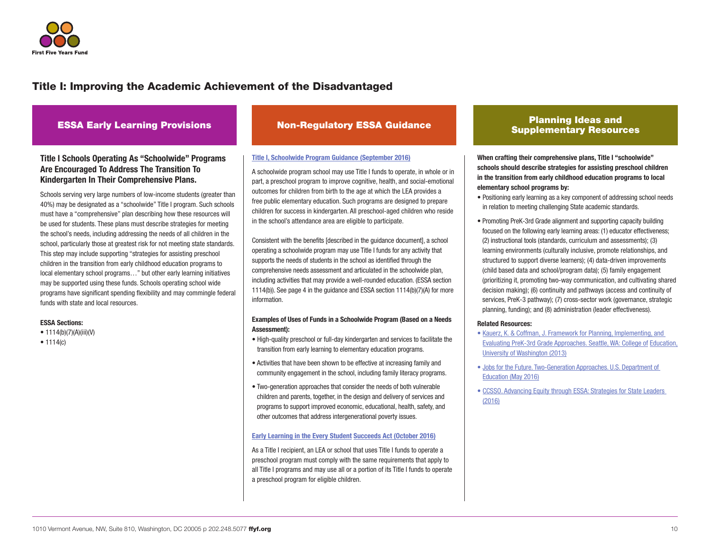

### Title I Schools Operating As "Schoolwide" Programs Are Encouraged To Address The Transition To Kindergarten In Their Comprehensive Plans.

Schools serving very large numbers of low-income students (greater than 40%) may be designated as a "schoolwide" Title I program. Such schools must have a "comprehensive" plan describing how these resources will be used for students. These plans must describe strategies for meeting the school's needs, including addressing the needs of all children in the school, particularly those at greatest risk for not meeting state standards. This step may include supporting "strategies for assisting preschool children in the transition from early childhood education programs to local elementary school programs…" but other early learning initiatives may be supported using these funds. Schools operating school wide programs have significant spending flexibility and may commingle federal funds with state and local resources.

#### ESSA Sections:

- $1114(b)(7)(A)(iii)(V)$
- 1114(c)

#### [Title I, Schoolwide Program Guidance \(September 2016\)](https://www2.ed.gov/policy/elsec/leg/essa/essaswpguidance9192016.pdf)

A schoolwide program school may use Title I funds to operate, in whole or in part, a preschool program to improve cognitive, health, and social-emotional outcomes for children from birth to the age at which the LEA provides a free public elementary education. Such programs are designed to prepare children for success in kindergarten. All preschool-aged children who reside in the school's attendance area are eligible to participate.

Consistent with the benefits [described in the guidance document], a school operating a schoolwide program may use Title I funds for any activity that supports the needs of students in the school as identified through the comprehensive needs assessment and articulated in the schoolwide plan, including activities that may provide a well-rounded education. (ESSA section 1114(b)). See page 4 in the guidance and ESSA section 1114(b)(7)(A) for more information.

#### Examples of Uses of Funds in a Schoolwide Program (Based on a Needs Assessment):

- High-quality preschool or full-day kindergarten and services to facilitate the transition from early learning to elementary education programs.
- Activities that have been shown to be effective at increasing family and community engagement in the school, including family literacy programs.
- Two-generation approaches that consider the needs of both vulnerable children and parents, together, in the design and delivery of services and programs to support improved economic, educational, health, safety, and other outcomes that address intergenerational poverty issues.

#### [Early Learning in the Every Student](https://www2.ed.gov/policy/elsec/leg/essa/essaelguidance10202016.pdf) Succeeds Act (October 2016)

As a Title I recipient, an LEA or school that uses Title I funds to operate a preschool program must comply with the same requirements that apply to all Title I programs and may use all or a portion of its Title I funds to operate a preschool program for eligible children.

### ESSA Early Learning Provisions Non-Regulatory ESSA Guidance Planning Ideas and Planning Ideas and Supplementary Resources

When crafting their comprehensive plans, Title I "schoolwide" schools should describe strategies for assisting preschool children in the transition from early childhood education programs to local elementary school programs by:

- Positioning early learning as a key component of addressing school needs in relation to meeting challenging State academic standards.
- Promoting PreK-3rd Grade alignment and supporting capacity building focused on the following early learning areas: (1) educator effectiveness; (2) instructional tools (standards, curriculum and assessments); (3) learning environments (culturally inclusive, promote relationships, and structured to support diverse learners); (4) data-driven improvements (child based data and school/program data); (5) family engagement (prioritizing it, promoting two-way communication, and cultivating shared decision making); (6) continuity and pathways (access and continuity of services, PreK-3 pathway); (7) cross-sector work (governance, strategic planning, funding); and (8) administration (leader effectiveness).

#### Related Resources:

- [Kauerz, K. & Coffman, J. Framework for Planning, Implementing, and](https://depts.washington.edu/pthru3/PreK-3rd_Framework_Legal%20paper.pdf)  [Evaluating PreK-3rd Grade Approaches. Seattle, WA: College of](https://depts.washington.edu/pthru3/PreK-3rd_Framework_Legal%20paper.pdf) Education, [University of Washington \(2013\)](https://depts.washington.edu/pthru3/PreK-3rd_Framework_Legal%20paper.pdf)
- • [Jobs for the Future. Two-Generation Approaches. U.S. Department of](http://www.jff.org/sites/default/files/publications/materials/Two%20Generation%20Approaches%20Paper%20052716.pdf)  [Education \(May 2016\)](http://www.jff.org/sites/default/files/publications/materials/Two%20Generation%20Approaches%20Paper%20052716.pdf)
- • [CCSSO. Advancing Equity through ESSA: Strategies for State Leaders](http://www.ccsso.org/Documents/2016/ESSA/AdvancingEquityThroughESSA101316.pdf)  [\(2016\)](http://www.ccsso.org/Documents/2016/ESSA/AdvancingEquityThroughESSA101316.pdf)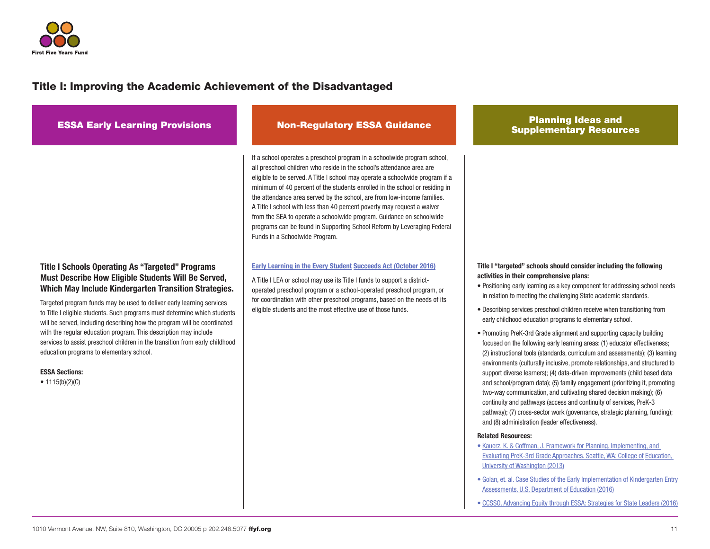

| <b>ESSA Early Learning Provisions</b>                                                                                                                                                                                                                                                                                                                                                                                                                                                                                                                                                                                                                   | <b>Non-Regulatory ESSA Guidance</b>                                                                                                                                                                                                                                                                                                                                                                                                                                                                                                                                                                                                                          | <b>Planning Ideas and</b><br><b>Supplementary Resources</b>                                                                                                                                                                                                                                                                                                                                                                                                                                                                                                                                                                                                                                                                                                                                                                                                                                                                                                                                                                                                                                                                                                                                                                                                                                                                                                 |
|---------------------------------------------------------------------------------------------------------------------------------------------------------------------------------------------------------------------------------------------------------------------------------------------------------------------------------------------------------------------------------------------------------------------------------------------------------------------------------------------------------------------------------------------------------------------------------------------------------------------------------------------------------|--------------------------------------------------------------------------------------------------------------------------------------------------------------------------------------------------------------------------------------------------------------------------------------------------------------------------------------------------------------------------------------------------------------------------------------------------------------------------------------------------------------------------------------------------------------------------------------------------------------------------------------------------------------|-------------------------------------------------------------------------------------------------------------------------------------------------------------------------------------------------------------------------------------------------------------------------------------------------------------------------------------------------------------------------------------------------------------------------------------------------------------------------------------------------------------------------------------------------------------------------------------------------------------------------------------------------------------------------------------------------------------------------------------------------------------------------------------------------------------------------------------------------------------------------------------------------------------------------------------------------------------------------------------------------------------------------------------------------------------------------------------------------------------------------------------------------------------------------------------------------------------------------------------------------------------------------------------------------------------------------------------------------------------|
|                                                                                                                                                                                                                                                                                                                                                                                                                                                                                                                                                                                                                                                         | If a school operates a preschool program in a schoolwide program school,<br>all preschool children who reside in the school's attendance area are<br>eligible to be served. A Title I school may operate a schoolwide program if a<br>minimum of 40 percent of the students enrolled in the school or residing in<br>the attendance area served by the school, are from low-income families.<br>A Title I school with less than 40 percent poverty may request a waiver<br>from the SEA to operate a schoolwide program. Guidance on schoolwide<br>programs can be found in Supporting School Reform by Leveraging Federal<br>Funds in a Schoolwide Program. |                                                                                                                                                                                                                                                                                                                                                                                                                                                                                                                                                                                                                                                                                                                                                                                                                                                                                                                                                                                                                                                                                                                                                                                                                                                                                                                                                             |
| <b>Title I Schools Operating As "Targeted" Programs</b><br>Must Describe How Eligible Students Will Be Served,<br>Which May Include Kindergarten Transition Strategies.<br>Targeted program funds may be used to deliver early learning services<br>to Title I eligible students. Such programs must determine which students<br>will be served, including describing how the program will be coordinated<br>with the regular education program. This description may include<br>services to assist preschool children in the transition from early childhood<br>education programs to elementary school.<br><b>ESSA Sections:</b><br>• $1115(b)(2)(C)$ | <b>Early Learning in the Every Student Succeeds Act (October 2016)</b><br>A Title I LEA or school may use its Title I funds to support a district-<br>operated preschool program or a school-operated preschool program, or<br>for coordination with other preschool programs, based on the needs of its<br>eligible students and the most effective use of those funds.                                                                                                                                                                                                                                                                                     | Title I "targeted" schools should consider including the following<br>activities in their comprehensive plans:<br>• Positioning early learning as a key component for addressing school needs<br>in relation to meeting the challenging State academic standards.<br>. Describing services preschool children receive when transitioning from<br>early childhood education programs to elementary school.<br>• Promoting PreK-3rd Grade alignment and supporting capacity building<br>focused on the following early learning areas: (1) educator effectiveness;<br>(2) instructional tools (standards, curriculum and assessments); (3) learning<br>environments (culturally inclusive, promote relationships, and structured to<br>support diverse learners); (4) data-driven improvements (child based data<br>and school/program data); (5) family engagement (prioritizing it, promoting<br>two-way communication, and cultivating shared decision making); (6)<br>continuity and pathways (access and continuity of services, PreK-3<br>pathway); (7) cross-sector work (governance, strategic planning, funding);<br>and (8) administration (leader effectiveness).<br><b>Related Resources:</b><br>• Kauerz, K. & Coffman, J. Framework for Planning, Implementing, and<br>Evaluating PreK-3rd Grade Approaches. Seattle, WA: College of Education, |
|                                                                                                                                                                                                                                                                                                                                                                                                                                                                                                                                                                                                                                                         |                                                                                                                                                                                                                                                                                                                                                                                                                                                                                                                                                                                                                                                              | University of Washington (2013)<br>• Golan, et. al. Case Studies of the Early Implementation of Kindergarten Entry<br>Assessments. U.S. Department of Education (2016)<br>• CCSSO. Advancing Equity through ESSA: Strategies for State Leaders (2016)                                                                                                                                                                                                                                                                                                                                                                                                                                                                                                                                                                                                                                                                                                                                                                                                                                                                                                                                                                                                                                                                                                       |
|                                                                                                                                                                                                                                                                                                                                                                                                                                                                                                                                                                                                                                                         |                                                                                                                                                                                                                                                                                                                                                                                                                                                                                                                                                                                                                                                              |                                                                                                                                                                                                                                                                                                                                                                                                                                                                                                                                                                                                                                                                                                                                                                                                                                                                                                                                                                                                                                                                                                                                                                                                                                                                                                                                                             |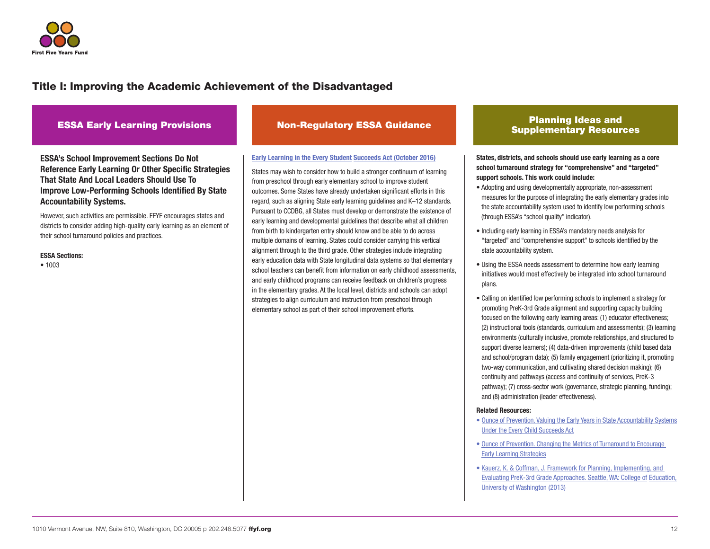

ESSA's School Improvement Sections Do Not Reference Early Learning Or Other Specific Strategies That State And Local Leaders Should Use To Improve Low-Performing Schools Identified By State Accountability Systems.

However, such activities are permissible. FFYF encourages states and districts to consider adding high-quality early learning as an element of their school turnaround policies and practices.

#### ESSA Sections:

• 1003

#### [Early Learning in the Every Student](https://www2.ed.gov/policy/elsec/leg/essa/essaelguidance10202016.pdf) Succeeds Act (October 2016)

States may wish to consider how to build a stronger continuum of learning from preschool through early elementary school to improve student outcomes. Some States have already undertaken significant efforts in this regard, such as aligning State early learning guidelines and K–12 standards. Pursuant to CCDBG, all States must develop or demonstrate the existence of early learning and developmental guidelines that describe what all children from birth to kindergarten entry should know and be able to do across multiple domains of learning. States could consider carrying this vertical alignment through to the third grade. Other strategies include integrating early education data with State longitudinal data systems so that elementary school teachers can benefit from information on early childhood assessments, and early childhood programs can receive feedback on children's progress in the elementary grades. At the local level, districts and schools can adopt strategies to align curriculum and instruction from preschool through elementary school as part of their school improvement efforts.

### ESSA Early Learning Provisions Non-Regulatory ESSA Guidance Planning Ideas and Planning Ideas and Supplementary Resources

States, districts, and schools should use early learning as a core school turnaround strategy for "comprehensive" and "targeted" support schools. This work could include:

- Adopting and using developmentally appropriate, non-assessment measures for the purpose of integrating the early elementary grades into the state accountability system used to identify low performing schools (through ESSA's "school quality" indicator).
- Including early learning in ESSA's mandatory needs analysis for "targeted" and "comprehensive support" to schools identified by the state accountability system.
- Using the ESSA needs assessment to determine how early learning initiatives would most effectively be integrated into school turnaround plans.
- Calling on identified low performing schools to implement a strategy for promoting PreK-3rd Grade alignment and supporting capacity building focused on the following early learning areas: (1) educator effectiveness; (2) instructional tools (standards, curriculum and assessments); (3) learning environments (culturally inclusive, promote relationships, and structured to support diverse learners); (4) data-driven improvements (child based data and school/program data); (5) family engagement (prioritizing it, promoting two-way communication, and cultivating shared decision making); (6) continuity and pathways (access and continuity of services, PreK-3 pathway); (7) cross-sector work (governance, strategic planning, funding); and (8) administration (leader effectiveness).

#### Related Resources:

- • [Ounce of Prevention. Valuing the Early Years in State Accountability Systems](http://www.theounce.org/resources/publications) [Under the Every Child Succeeds Act](http://www.theounce.org/resources/publications)
- • [Ounce of Prevention. Changing the Metrics of Turnaround to Encourage](http://www.theounce.org/what-we-do/policy/policy-conversations)  [Early Learning Strategies](http://www.theounce.org/what-we-do/policy/policy-conversations)
- [Kauerz, K. & Coffman, J. Framework for Planning, Implementing, and](https://depts.washington.edu/pthru3/PreK-3rd_Framework_Legal%20paper.pdf)  [Evaluating PreK-3rd Grade Approaches. Seattle, WA: College of](https://depts.washington.edu/pthru3/PreK-3rd_Framework_Legal%20paper.pdf) Education, [University of Washington \(2013\)](https://depts.washington.edu/pthru3/PreK-3rd_Framework_Legal%20paper.pdf)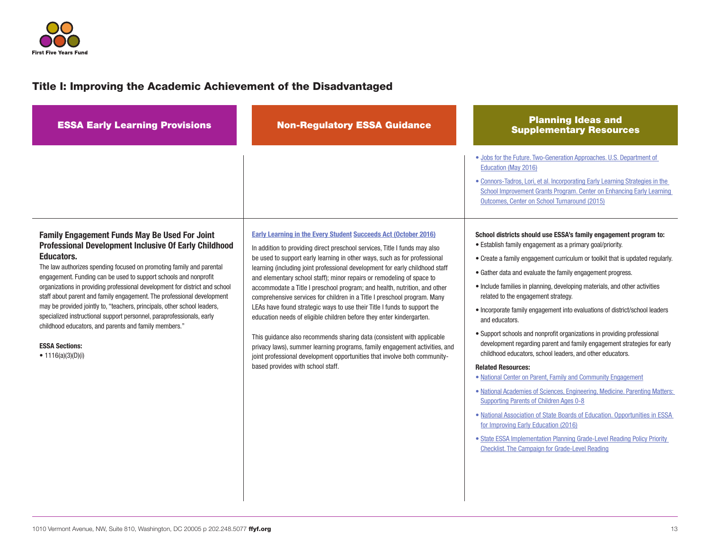

| <b>ESSA Early Learning Provisions</b>                                                                                                                                                                                                                                                                                                                                                                                     | <b>Non-Regulatory ESSA Guidance</b>                                                                                                                                                                                                                                                                                                                                                                                                                                                                                                                 | <b>Planning Ideas and</b><br><b>Supplementary Resources</b>                                                                                                                                                                                                                                                                                                                                                                                                                                                                                                                                                                                                                                                                                                                                         |
|---------------------------------------------------------------------------------------------------------------------------------------------------------------------------------------------------------------------------------------------------------------------------------------------------------------------------------------------------------------------------------------------------------------------------|-----------------------------------------------------------------------------------------------------------------------------------------------------------------------------------------------------------------------------------------------------------------------------------------------------------------------------------------------------------------------------------------------------------------------------------------------------------------------------------------------------------------------------------------------------|-----------------------------------------------------------------------------------------------------------------------------------------------------------------------------------------------------------------------------------------------------------------------------------------------------------------------------------------------------------------------------------------------------------------------------------------------------------------------------------------------------------------------------------------------------------------------------------------------------------------------------------------------------------------------------------------------------------------------------------------------------------------------------------------------------|
| Family Engagement Funds May Be Used For Joint<br>Professional Development Inclusive Of Early Childhood<br>Educators.<br>The law authorizes spending focused on promoting family and parental<br>engagement. Funding can be used to support schools and nonprofit<br>organizations in providing professional development for district and school<br>staff about parent and family engagement. The professional development | <b>Early Learning in the Every Student Succeeds Act (October 2016)</b><br>In addition to providing direct preschool services, Title I funds may also<br>be used to support early learning in other ways, such as for professional<br>learning (including joint professional development for early childhood staff<br>and elementary school staff); minor repairs or remodeling of space to<br>accommodate a Title I preschool program; and health, nutrition, and other<br>comprehensive services for children in a Title I preschool program. Many | . Jobs for the Future. Two-Generation Approaches. U.S. Department of<br>Education (May 2016)<br>. Connors-Tadros, Lori, et al. Incorporating Early Learning Strategies in the<br>School Improvement Grants Program. Center on Enhancing Early Learning<br>Outcomes, Center on School Turnaround (2015)<br>School districts should use ESSA's family engagement program to:<br>• Establish family engagement as a primary goal/priority.<br>• Create a family engagement curriculum or toolkit that is updated regularly.<br>• Gather data and evaluate the family engagement progress.<br>• Include families in planning, developing materials, and other activities<br>related to the engagement strategy.                                                                                         |
| may be provided jointly to, "teachers, principals, other school leaders,<br>specialized instructional support personnel, paraprofessionals, early<br>childhood educators, and parents and family members."<br><b>ESSA Sections:</b><br>• 1116(a)(3)(D)(i)                                                                                                                                                                 | LEAs have found strategic ways to use their Title I funds to support the<br>education needs of eligible children before they enter kindergarten.<br>This guidance also recommends sharing data (consistent with applicable<br>privacy laws), summer learning programs, family engagement activities, and<br>joint professional development opportunities that involve both community-<br>based provides with school staff.                                                                                                                          | . Incorporate family engagement into evaluations of district/school leaders<br>and educators.<br>• Support schools and nonprofit organizations in providing professional<br>development regarding parent and family engagement strategies for early<br>childhood educators, school leaders, and other educators.<br><b>Related Resources:</b><br>• National Center on Parent, Family and Community Engagement<br>. National Academies of Sciences, Engineering, Medicine. Parenting Matters:<br>Supporting Parents of Children Ages 0-8<br>• National Association of State Boards of Education. Opportunities in ESSA<br>for Improving Early Education (2016)<br>• State ESSA Implementation Planning Grade-Level Reading Policy Priority<br><b>Checklist. The Campaign for Grade-Level Reading</b> |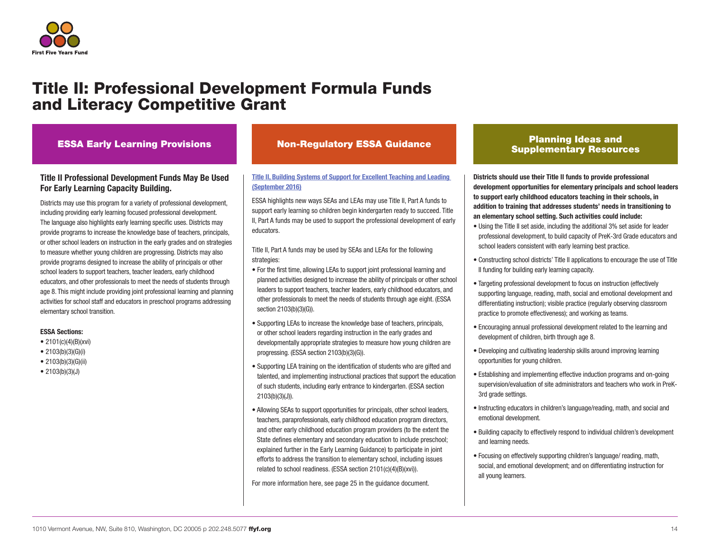

## Title II: Professional Development Formula Funds and Literacy Competitive Grant

### ESSA Early Learning Provisions

### Title II Professional Development Funds May Be Used For Early Learning Capacity Building.

Districts may use this program for a variety of professional development, including providing early learning focused professional development. The language also highlights early learning specific uses. Districts may provide programs to increase the knowledge base of teachers, principals, or other school leaders on instruction in the early grades and on strategies to measure whether young children are progressing. Districts may also provide programs designed to increase the ability of principals or other school leaders to support teachers, teacher leaders, early childhood educators, and other professionals to meet the needs of students through age 8. This might include providing joint professional learning and planning activities for school staff and educators in preschool programs addressing elementary school transition.

#### ESSA Sections:

- 2101(c)(4)(B)(xvi)
- 2103(b)(3)(G)(i)
- 2103(b)(3)(G)(ii)
- 2103(b)(3)(J)

### Supplementary Resources Non-Regulatory ESSA Guidance

### [Title II, Building Systems of Support for Excellent Teaching and Leading](https://www2.ed.gov/policy/elsec/leg/essa/essatitleiinonregguidance10132016.pdf)  [\(September 2016\)](https://www2.ed.gov/policy/elsec/leg/essa/essatitleiinonregguidance10132016.pdf)

ESSA highlights new ways SEAs and LEAs may use Title II, Part A funds to support early learning so children begin kindergarten ready to succeed. Title II, Part A funds may be used to support the professional development of early educators.

Title II, Part A funds may be used by SEAs and LEAs for the following strategies:

- For the first time, allowing LEAs to support joint professional learning and planned activities designed to increase the ability of principals or other school leaders to support teachers, teacher leaders, early childhood educators, and other professionals to meet the needs of students through age eight. (ESSA section 2103(b)(3)(G)).
- Supporting LEAs to increase the knowledge base of teachers, principals, or other school leaders regarding instruction in the early grades and developmentally appropriate strategies to measure how young children are progressing. (ESSA section 2103(b)(3)(G)).
- Supporting LEA training on the identification of students who are gifted and talented, and implementing instructional practices that support the education of such students, including early entrance to kindergarten. (ESSA section 2103(b)(3)(J)).
- Allowing SEAs to support opportunities for principals, other school leaders, teachers, paraprofessionals, early childhood education program directors, and other early childhood education program providers (to the extent the State defines elementary and secondary education to include preschool; explained further in the Early Learning Guidance) to participate in joint efforts to address the transition to elementary school, including issues related to school readiness. (ESSA section 2101(c)(4)(B)(xvi)).

For more information here, see page 25 in the guidance document.

## Planning Ideas and

Districts should use their Title II funds to provide professional development opportunities for elementary principals and school leaders to support early childhood educators teaching in their schools, in addition to training that addresses students' needs in transitioning to an elementary school setting. Such activities could include:

- Using the Title II set aside, including the additional 3% set aside for leader professional development, to build capacity of PreK-3rd Grade educators and school leaders consistent with early learning best practice.
- Constructing school districts' Title II applications to encourage the use of Title II funding for building early learning capacity.
- Targeting professional development to focus on instruction (effectively supporting language, reading, math, social and emotional development and differentiating instruction); visible practice (regularly observing classroom practice to promote effectiveness); and working as teams.
- Encouraging annual professional development related to the learning and development of children, birth through age 8.
- Developing and cultivating leadership skills around improving learning opportunities for young children.
- Establishing and implementing effective induction programs and on-going supervision/evaluation of site administrators and teachers who work in PreK-3rd grade settings.
- Instructing educators in children's language/reading, math, and social and emotional development.
- Building capacity to effectively respond to individual children's development and learning needs.
- Focusing on effectively supporting children's language/ reading, math, social, and emotional development; and on differentiating instruction for all young learners.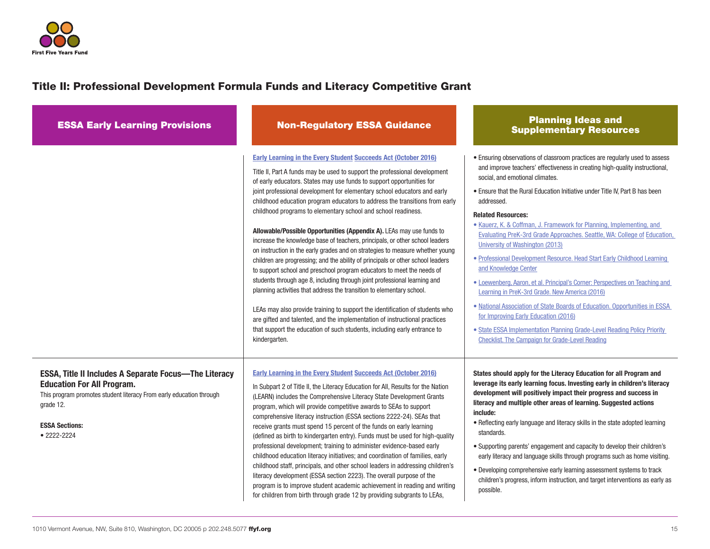

## Title II: Professional Development Formula Funds and Literacy Competitive Grant

| <b>ESSA Early Learning Provisions</b>                                                                                                                                                                                             | <b>Non-Regulatory ESSA Guidance</b>                                                                                                                                                                                                                                                                                                                                                                                                                                                                                                                                                                                                                                                                                                                                                                                                                                                                                                                                                                                                                                                                                                                                                                                                                                       | <b>Planning Ideas and</b><br><b>Supplementary Resources</b>                                                                                                                                                                                                                                                                                                                                                                                                                                                                                                                                                                                                                                                                                                                                                                                                                                                                                                                                                       |
|-----------------------------------------------------------------------------------------------------------------------------------------------------------------------------------------------------------------------------------|---------------------------------------------------------------------------------------------------------------------------------------------------------------------------------------------------------------------------------------------------------------------------------------------------------------------------------------------------------------------------------------------------------------------------------------------------------------------------------------------------------------------------------------------------------------------------------------------------------------------------------------------------------------------------------------------------------------------------------------------------------------------------------------------------------------------------------------------------------------------------------------------------------------------------------------------------------------------------------------------------------------------------------------------------------------------------------------------------------------------------------------------------------------------------------------------------------------------------------------------------------------------------|-------------------------------------------------------------------------------------------------------------------------------------------------------------------------------------------------------------------------------------------------------------------------------------------------------------------------------------------------------------------------------------------------------------------------------------------------------------------------------------------------------------------------------------------------------------------------------------------------------------------------------------------------------------------------------------------------------------------------------------------------------------------------------------------------------------------------------------------------------------------------------------------------------------------------------------------------------------------------------------------------------------------|
|                                                                                                                                                                                                                                   | Early Learning in the Every Student Succeeds Act (October 2016)<br>Title II, Part A funds may be used to support the professional development<br>of early educators. States may use funds to support opportunities for<br>joint professional development for elementary school educators and early<br>childhood education program educators to address the transitions from early<br>childhood programs to elementary school and school readiness.<br>Allowable/Possible Opportunities (Appendix A). LEAs may use funds to<br>increase the knowledge base of teachers, principals, or other school leaders<br>on instruction in the early grades and on strategies to measure whether young<br>children are progressing; and the ability of principals or other school leaders<br>to support school and preschool program educators to meet the needs of<br>students through age 8, including through joint professional learning and<br>planning activities that address the transition to elementary school.<br>LEAs may also provide training to support the identification of students who<br>are gifted and talented, and the implementation of instructional practices<br>that support the education of such students, including early entrance to<br>kindergarten. | • Ensuring observations of classroom practices are regularly used to assess<br>and improve teachers' effectiveness in creating high-quality instructional,<br>social, and emotional climates.<br>• Ensure that the Rural Education Initiative under Title IV, Part B has been<br>addressed.<br><b>Related Resources:</b><br>• Kauerz, K. & Coffman, J. Framework for Planning, Implementing, and<br>Evaluating PreK-3rd Grade Approaches. Seattle, WA: College of Education,<br>University of Washington (2013)<br>• Professional Development Resource. Head Start Early Childhood Learning<br>and Knowledge Center<br>• Loewenberg, Aaron, et al. Principal's Corner: Perspectives on Teaching and<br>Learning in PreK-3rd Grade. New America (2016)<br>• National Association of State Boards of Education. Opportunities in ESSA<br>for Improving Early Education (2016)<br>• State ESSA Implementation Planning Grade-Level Reading Policy Priority<br><b>Checklist. The Campaign for Grade-Level Reading</b> |
| <b>ESSA, Title II Includes A Separate Focus-The Literacy</b><br><b>Education For All Program.</b><br>This program promotes student literacy From early education through<br>grade 12.<br><b>ESSA Sections:</b><br>$• 2222 - 2224$ | Early Learning in the Every Student Succeeds Act (October 2016)<br>In Subpart 2 of Title II, the Literacy Education for All, Results for the Nation<br>(LEARN) includes the Comprehensive Literacy State Development Grants<br>program, which will provide competitive awards to SEAs to support<br>comprehensive literacy instruction (ESSA sections 2222-24). SEAs that<br>receive grants must spend 15 percent of the funds on early learning<br>(defined as birth to kindergarten entry). Funds must be used for high-quality<br>professional development; training to administer evidence-based early<br>childhood education literacy initiatives; and coordination of families, early<br>childhood staff, principals, and other school leaders in addressing children's<br>literacy development (ESSA section 2223). The overall purpose of the<br>program is to improve student academic achievement in reading and writing<br>for children from birth through grade 12 by providing subgrants to LEAs,                                                                                                                                                                                                                                                            | States should apply for the Literacy Education for all Program and<br>leverage its early learning focus. Investing early in children's literacy<br>development will positively impact their progress and success in<br>literacy and multiple other areas of learning. Suggested actions<br>include:<br>. Reflecting early language and literacy skills in the state adopted learning<br>standards.<br>• Supporting parents' engagement and capacity to develop their children's<br>early literacy and language skills through programs such as home visiting.<br>• Developing comprehensive early learning assessment systems to track<br>children's progress, inform instruction, and target interventions as early as<br>possible.                                                                                                                                                                                                                                                                              |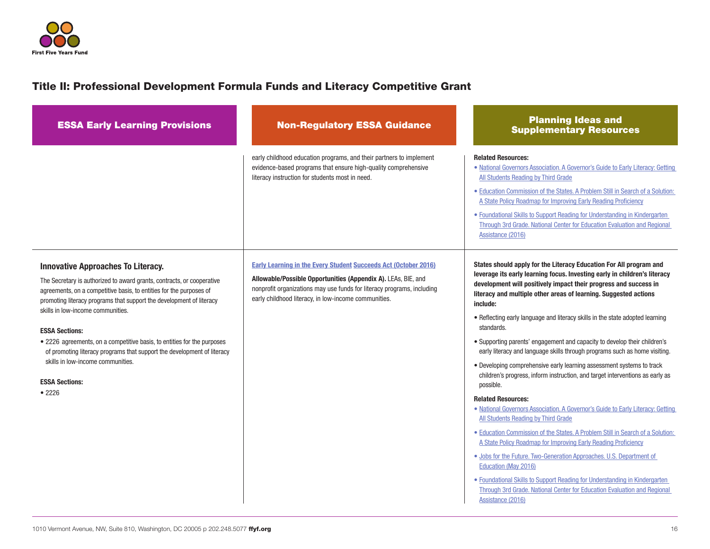

## Title II: Professional Development Formula Funds and Literacy Competitive Grant

| <b>ESSA Early Learning Provisions</b>                                                                                                                                                                                                                                                                                                                                                                                                                                                                                                                         | <b>Non-Regulatory ESSA Guidance</b>                                                                                                                                                                                                                                | <b>Planning Ideas and</b><br><b>Supplementary Resources</b>                                                                                                                                                                                                                                                                                                                                                                                                                                                                                                                                                                                                                                                                                                                                                                                                                                                                                                                                                                                                                                                                                                                                                                                                                                                                    |
|---------------------------------------------------------------------------------------------------------------------------------------------------------------------------------------------------------------------------------------------------------------------------------------------------------------------------------------------------------------------------------------------------------------------------------------------------------------------------------------------------------------------------------------------------------------|--------------------------------------------------------------------------------------------------------------------------------------------------------------------------------------------------------------------------------------------------------------------|--------------------------------------------------------------------------------------------------------------------------------------------------------------------------------------------------------------------------------------------------------------------------------------------------------------------------------------------------------------------------------------------------------------------------------------------------------------------------------------------------------------------------------------------------------------------------------------------------------------------------------------------------------------------------------------------------------------------------------------------------------------------------------------------------------------------------------------------------------------------------------------------------------------------------------------------------------------------------------------------------------------------------------------------------------------------------------------------------------------------------------------------------------------------------------------------------------------------------------------------------------------------------------------------------------------------------------|
|                                                                                                                                                                                                                                                                                                                                                                                                                                                                                                                                                               | early childhood education programs, and their partners to implement<br>evidence-based programs that ensure high-quality comprehensive<br>literacy instruction for students most in need.                                                                           | <b>Related Resources:</b><br>• National Governors Association. A Governor's Guide to Early Literacy: Getting<br>All Students Reading by Third Grade<br>• Education Commission of the States. A Problem Still in Search of a Solution:<br>A State Policy Roadmap for Improving Early Reading Proficiency<br>• Foundational Skills to Support Reading for Understanding in Kindergarten<br>Through 3rd Grade. National Center for Education Evaluation and Regional<br>Assistance (2016)                                                                                                                                                                                                                                                                                                                                                                                                                                                                                                                                                                                                                                                                                                                                                                                                                                         |
| <b>Innovative Approaches To Literacy.</b><br>The Secretary is authorized to award grants, contracts, or cooperative<br>agreements, on a competitive basis, to entities for the purposes of<br>promoting literacy programs that support the development of literacy<br>skills in low-income communities.<br><b>ESSA Sections:</b><br>• 2226 agreements, on a competitive basis, to entities for the purposes<br>of promoting literacy programs that support the development of literacy<br>skills in low-income communities.<br><b>ESSA Sections:</b><br>•2226 | Early Learning in the Every Student Succeeds Act (October 2016)<br>Allowable/Possible Opportunities (Appendix A). LEAs, BIE, and<br>nonprofit organizations may use funds for literacy programs, including<br>early childhood literacy, in low-income communities. | States should apply for the Literacy Education For All program and<br>leverage its early learning focus. Investing early in children's literacy<br>development will positively impact their progress and success in<br>literacy and multiple other areas of learning. Suggested actions<br>include:<br>. Reflecting early language and literacy skills in the state adopted learning<br>standards.<br>• Supporting parents' engagement and capacity to develop their children's<br>early literacy and language skills through programs such as home visiting.<br>• Developing comprehensive early learning assessment systems to track<br>children's progress, inform instruction, and target interventions as early as<br>possible.<br><b>Related Resources:</b><br>. National Governors Association. A Governor's Guide to Early Literacy: Getting<br>All Students Reading by Third Grade<br>• Education Commission of the States. A Problem Still in Search of a Solution:<br>A State Policy Roadmap for Improving Early Reading Proficiency<br>. Jobs for the Future. Two-Generation Approaches. U.S. Department of<br>Education (May 2016)<br>• Foundational Skills to Support Reading for Understanding in Kindergarten<br>Through 3rd Grade. National Center for Education Evaluation and Regional<br>Assistance (2016) |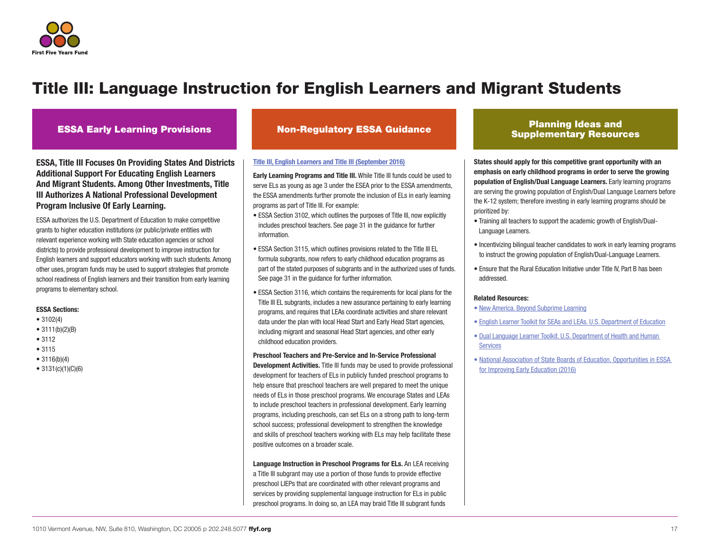

ESSA, Title III Focuses On Providing States And Districts Additional Support For Educating English Learners And Migrant Students. Among Other Investments, Title III Authorizes A National Professional Development Program Inclusive Of Early Learning.

ESSA authorizes the U.S. Department of Education to make competitive grants to higher education institutions (or public/private entities with relevant experience working with State education agencies or school districts) to provide professional development to improve instruction for English learners and support educators working with such students. Among other uses, program funds may be used to support strategies that promote school readiness of English learners and their transition from early learning programs to elementary school.

#### ESSA Sections:

- 3102(4)
- $3111(b)(2)(B)$
- 3112
- 3115
- 3116(b)(4)
- $3131(c)(1)(C)(6)$

#### [Title III, English Learners and Title III \(September 2016\)](https://www2.ed.gov/policy/elsec/leg/essa/essatitleiiiguidenglishlearners92016.pdf)

Early Learning Programs and Title III. While Title III funds could be used to serve ELs as young as age 3 under the ESEA prior to the ESSA amendments, the ESSA amendments further promote the inclusion of ELs in early learning programs as part of Title III. For example:

- ESSA Section 3102, which outlines the purposes of Title III, now explicitly includes preschool teachers. See page 31 in the guidance for further information.
- ESSA Section 3115, which outlines provisions related to the Title III EL formula subgrants, now refers to early childhood education programs as part of the stated purposes of subgrants and in the authorized uses of funds. See page 31 in the guidance for further information.
- ESSA Section 3116, which contains the requirements for local plans for the Title III EL subgrants, includes a new assurance pertaining to early learning programs, and requires that LEAs coordinate activities and share relevant data under the plan with local Head Start and Early Head Start agencies, including migrant and seasonal Head Start agencies, and other early childhood education providers.

#### Preschool Teachers and Pre-Service and In-Service Professional

Development Activities. Title III funds may be used to provide professional development for teachers of ELs in publicly funded preschool programs to help ensure that preschool teachers are well prepared to meet the unique needs of ELs in those preschool programs. We encourage States and LEAs to include preschool teachers in professional development. Early learning programs, including preschools, can set ELs on a strong path to long-term school success; professional development to strengthen the knowledge and skills of preschool teachers working with ELs may help facilitate these positive outcomes on a broader scale.

Language Instruction in Preschool Programs for ELs. An LEA receiving a Title III subgrant may use a portion of those funds to provide effective preschool LIEPs that are coordinated with other relevant programs and services by providing supplemental language instruction for ELs in public preschool programs. In doing so, an LEA may braid Title III subgrant funds

### ESSA Early Learning Provisions Non-Regulatory ESSA Guidance Planning Ideas and Supplementary Resources

States should apply for this competitive grant opportunity with an emphasis on early childhood programs in order to serve the growing population of English/Dual Language Learners. Early learning programs are serving the growing population of English/Dual Language Learners before the K-12 system; therefore investing in early learning programs should be prioritized by:

- Training all teachers to support the academic growth of English/Dual-Language Learners.
- Incentivizing bilingual teacher candidates to work in early learning programs to instruct the growing population of English/Dual-Language Learners.
- Ensure that the Rural Education Initiative under Title IV, Part B has been addressed.

#### Related Resources:

- [New America. Beyond Subprime Learning](https://static.newamerica.org/attachments/743-beyond-subprime-learning/Beyond_Subprime_Learning_by_Bornfreund-et-al_New_America_Jul2014.pdf)
- [English Learner Toolkit for SEAs and LEAs. U.S. Department of Education](https://www2.ed.gov/about/offices/list/oela/english-learner-toolkit/eltoolkit.pdf)
- [Dual Language Learner Toolkit. U.S. Department of Health and Human](https://eclkc.ohs.acf.hhs.gov/hslc/tta-system/cultural-linguistic/Dual%20Language%20Learners/toolkit)  **[Services](https://eclkc.ohs.acf.hhs.gov/hslc/tta-system/cultural-linguistic/Dual%20Language%20Learners/toolkit)**
- [National Association of State Boards of Education. Opportunities in ESSA](http://www.nasbe.org/wp-content/uploads/Dichter_ESSAECE-Final.pdf)  [for Improving Early Education \(2016\)](http://www.nasbe.org/wp-content/uploads/Dichter_ESSAECE-Final.pdf)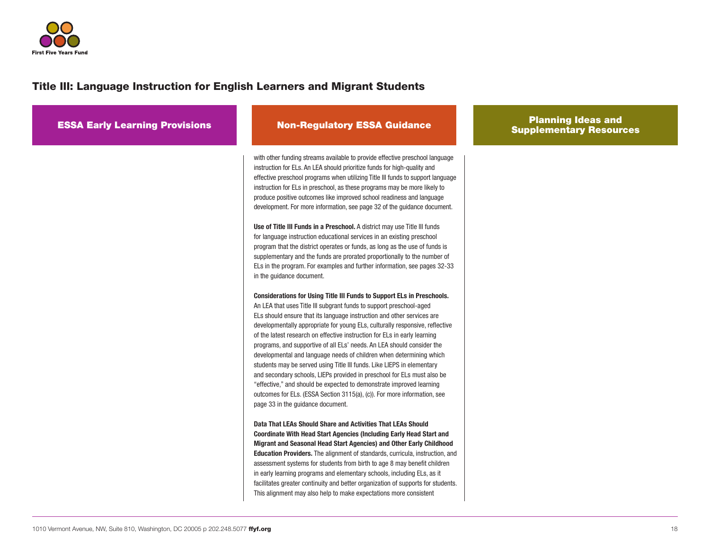

| <b>ESSA Early Learning Provisions</b> | <b>Non-Regulatory ESSA Guidance</b>                                                                                                                                                                                                                                                                                                                                                                                                                                                                                                                                                                                                                                                                                                                                                                                                                                                                       | <b>Planning Ideas and</b><br><b>Supplementary Resources</b> |
|---------------------------------------|-----------------------------------------------------------------------------------------------------------------------------------------------------------------------------------------------------------------------------------------------------------------------------------------------------------------------------------------------------------------------------------------------------------------------------------------------------------------------------------------------------------------------------------------------------------------------------------------------------------------------------------------------------------------------------------------------------------------------------------------------------------------------------------------------------------------------------------------------------------------------------------------------------------|-------------------------------------------------------------|
|                                       | with other funding streams available to provide effective preschool language<br>instruction for ELs. An LEA should prioritize funds for high-quality and<br>effective preschool programs when utilizing Title III funds to support language<br>instruction for ELs in preschool, as these programs may be more likely to<br>produce positive outcomes like improved school readiness and language<br>development. For more information, see page 32 of the guidance document.<br>Use of Title III Funds in a Preschool. A district may use Title III funds<br>for language instruction educational services in an existing preschool<br>program that the district operates or funds, as long as the use of funds is<br>supplementary and the funds are prorated proportionally to the number of<br>ELs in the program. For examples and further information, see pages 32-33<br>in the guidance document. |                                                             |
|                                       | Considerations for Using Title III Funds to Support ELs in Preschools.<br>An LEA that uses Title III subgrant funds to support preschool-aged<br>ELs should ensure that its language instruction and other services are<br>developmentally appropriate for young ELs, culturally responsive, reflective<br>of the latest research on effective instruction for ELs in early learning<br>programs, and supportive of all ELs' needs. An LEA should consider the<br>developmental and language needs of children when determining which<br>students may be served using Title III funds. Like LIEPS in elementary<br>and secondary schools, LIEPs provided in preschool for ELs must also be<br>"effective," and should be expected to demonstrate improved learning<br>outcomes for ELs. (ESSA Section 3115(a), (c)). For more information, see<br>page 33 in the guidance document.                       |                                                             |
|                                       | Data That LEAs Should Share and Activities That LEAs Should<br><b>Coordinate With Head Start Agencies (Including Early Head Start and</b><br>Migrant and Seasonal Head Start Agencies) and Other Early Childhood<br><b>Education Providers.</b> The alignment of standards, curricula, instruction, and<br>assessment systems for students from birth to age 8 may benefit children<br>in early learning programs and elementary schools, including ELs, as it<br>facilitates greater continuity and better organization of supports for students.<br>This alignment may also help to make expectations more consistent                                                                                                                                                                                                                                                                                   |                                                             |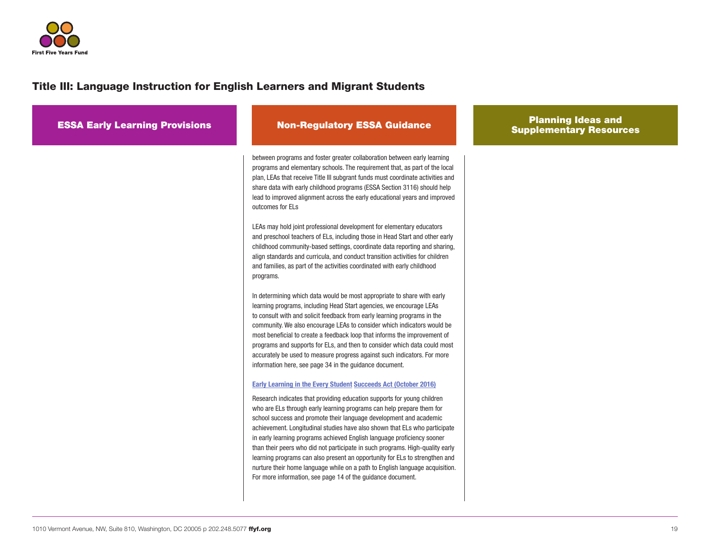

| <b>ESSA Early Learning Provisions</b> | <b>Non-Regulatory ESSA Guidance</b>                                                                                                                                                                                                                                                                                                                                                                                                                                                                                                                                                                                                                                                                                                                                      | <b>Planning Ideas and</b><br><b>Supplementary Resources</b> |
|---------------------------------------|--------------------------------------------------------------------------------------------------------------------------------------------------------------------------------------------------------------------------------------------------------------------------------------------------------------------------------------------------------------------------------------------------------------------------------------------------------------------------------------------------------------------------------------------------------------------------------------------------------------------------------------------------------------------------------------------------------------------------------------------------------------------------|-------------------------------------------------------------|
|                                       | between programs and foster greater collaboration between early learning<br>programs and elementary schools. The requirement that, as part of the local<br>plan, LEAs that receive Title III subgrant funds must coordinate activities and<br>share data with early childhood programs (ESSA Section 3116) should help<br>lead to improved alignment across the early educational years and improved<br>outcomes for ELs                                                                                                                                                                                                                                                                                                                                                 |                                                             |
|                                       | LEAs may hold joint professional development for elementary educators<br>and preschool teachers of ELs, including those in Head Start and other early<br>childhood community-based settings, coordinate data reporting and sharing,<br>align standards and curricula, and conduct transition activities for children<br>and families, as part of the activities coordinated with early childhood<br>programs.                                                                                                                                                                                                                                                                                                                                                            |                                                             |
|                                       | In determining which data would be most appropriate to share with early<br>learning programs, including Head Start agencies, we encourage LEAs<br>to consult with and solicit feedback from early learning programs in the<br>community. We also encourage LEAs to consider which indicators would be<br>most beneficial to create a feedback loop that informs the improvement of<br>programs and supports for ELs, and then to consider which data could most<br>accurately be used to measure progress against such indicators. For more<br>information here, see page 34 in the guidance document.                                                                                                                                                                   |                                                             |
|                                       | <b>Early Learning in the Every Student Succeeds Act (October 2016)</b><br>Research indicates that providing education supports for young children<br>who are ELs through early learning programs can help prepare them for<br>school success and promote their language development and academic<br>achievement. Longitudinal studies have also shown that ELs who participate<br>in early learning programs achieved English language proficiency sooner<br>than their peers who did not participate in such programs. High-quality early<br>learning programs can also present an opportunity for ELs to strengthen and<br>nurture their home language while on a path to English language acquisition.<br>For more information, see page 14 of the guidance document. |                                                             |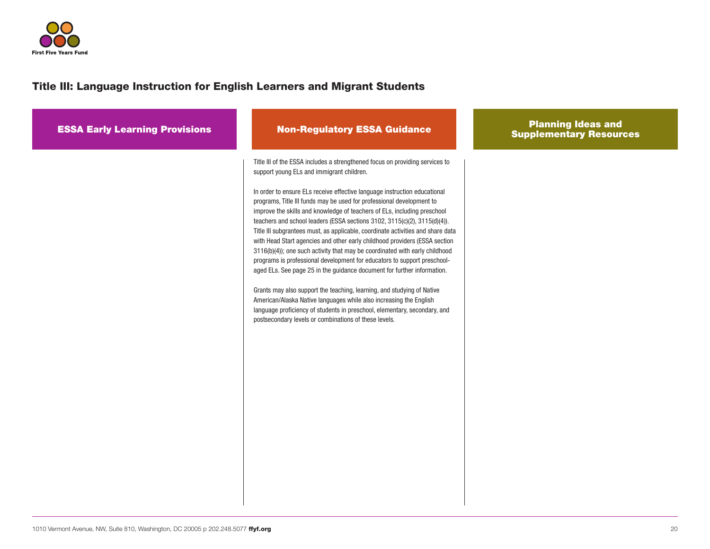

| <b>ESSA Early Learning Provisions</b> | <b>Non-Regulatory ESSA Guidance</b>                                                                                                                                                                                                                                                                                                                                                                                                                                                                                                                                                                                                                                                                                                                                                                                                                                                                                                                                                                                                                                                                                                   | <b>Planning Ideas and</b><br><b>Supplementary Resources</b> |
|---------------------------------------|---------------------------------------------------------------------------------------------------------------------------------------------------------------------------------------------------------------------------------------------------------------------------------------------------------------------------------------------------------------------------------------------------------------------------------------------------------------------------------------------------------------------------------------------------------------------------------------------------------------------------------------------------------------------------------------------------------------------------------------------------------------------------------------------------------------------------------------------------------------------------------------------------------------------------------------------------------------------------------------------------------------------------------------------------------------------------------------------------------------------------------------|-------------------------------------------------------------|
|                                       | Title III of the ESSA includes a strengthened focus on providing services to<br>support young ELs and immigrant children.<br>In order to ensure ELs receive effective language instruction educational<br>programs, Title III funds may be used for professional development to<br>improve the skills and knowledge of teachers of ELs, including preschool<br>teachers and school leaders (ESSA sections 3102, 3115(c)(2), 3115(d)(4)).<br>Title III subgrantees must, as applicable, coordinate activities and share data<br>with Head Start agencies and other early childhood providers (ESSA section<br>3116(b)(4)); one such activity that may be coordinated with early childhood<br>programs is professional development for educators to support preschool-<br>aged ELs. See page 25 in the guidance document for further information.<br>Grants may also support the teaching, learning, and studying of Native<br>American/Alaska Native languages while also increasing the English<br>language proficiency of students in preschool, elementary, secondary, and<br>postsecondary levels or combinations of these levels. |                                                             |
|                                       |                                                                                                                                                                                                                                                                                                                                                                                                                                                                                                                                                                                                                                                                                                                                                                                                                                                                                                                                                                                                                                                                                                                                       |                                                             |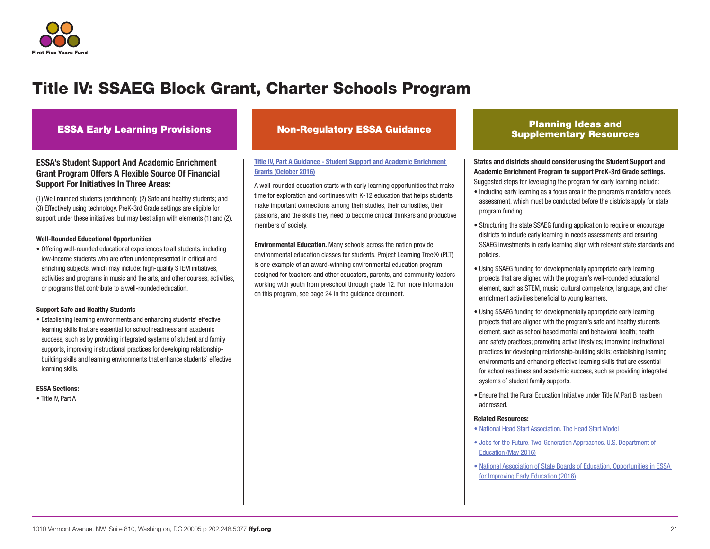

### ESSA's Student Support And Academic Enrichment Grant Program Offers A Flexible Source Of Financial Support For Initiatives In Three Areas:

(1) Well rounded students (enrichment); (2) Safe and healthy students; and (3) Effectively using technology. PreK-3rd Grade settings are eligible for support under these initiatives, but may best align with elements (1) and (2).

#### Well-Rounded Educational Opportunities

• Offering well-rounded educational experiences to all students, including low-income students who are often underrepresented in critical and enriching subjects, which may include: high-quality STEM initiatives, activities and programs in music and the arts, and other courses, activities, or programs that contribute to a well-rounded education.

#### Support Safe and Healthy Students

• Establishing learning environments and enhancing students' effective learning skills that are essential for school readiness and academic success, such as by providing integrated systems of student and family supports, improving instructional practices for developing relationshipbuilding skills and learning environments that enhance students' effective learning skills.

#### ESSA Sections:

• Title IV, Part A

### [Title IV, Part A Guidance - Student Support and Academic Enrichment](https://www2.ed.gov/policy/elsec/leg/essa/essassaegrantguid10212016.pdf)  [Grants \(October 2016\)](https://www2.ed.gov/policy/elsec/leg/essa/essassaegrantguid10212016.pdf)

A well-rounded education starts with early learning opportunities that make time for exploration and continues with K-12 education that helps students make important connections among their studies, their curiosities, their passions, and the skills they need to become critical thinkers and productive members of society.

Environmental Education. Many schools across the nation provide environmental education classes for students. Project Learning Tree® (PLT) is one example of an award-winning environmental education program designed for teachers and other educators, parents, and community leaders working with youth from preschool through grade 12. For more information on this program, see page 24 in the guidance document.

### ESSA Early Learning Provisions Non-Regulatory ESSA Guidance Planning Ideas and Supplementary Resources

States and districts should consider using the Student Support and Academic Enrichment Program to support PreK-3rd Grade settings. Suggested steps for leveraging the program for early learning include:

- Including early learning as a focus area in the program's mandatory needs assessment, which must be conducted before the districts apply for state program funding.
- Structuring the state SSAEG funding application to require or encourage districts to include early learning in needs assessments and ensuring SSAEG investments in early learning align with relevant state standards and policies.
- Using SSAEG funding for developmentally appropriate early learning projects that are aligned with the program's well-rounded educational element, such as STEM, music, cultural competency, language, and other enrichment activities beneficial to young learners.
- Using SSAEG funding for developmentally appropriate early learning projects that are aligned with the program's safe and healthy students element, such as school based mental and behavioral health; health and safety practices; promoting active lifestyles; improving instructional practices for developing relationship-building skills; establishing learning environments and enhancing effective learning skills that are essential for school readiness and academic success, such as providing integrated systems of student family supports.
- Ensure that the Rural Education Initiative under Title IV, Part B has been addressed.

#### Related Resources:

- [National Head Start Association. The Head Start Model](https://www.nhsa.org/why-head-start/head-start-model)
- [Jobs for the Future. Two-Generation Approaches. U.S. Department of](http://www.jff.org/sites/default/files/publications/materials/Two%20Generation%20Approaches%20Paper%20052716.pdf)  [Education \(May 2016\)](http://www.jff.org/sites/default/files/publications/materials/Two%20Generation%20Approaches%20Paper%20052716.pdf)
- [National Association of State Boards of Education. Opportunities in ESSA](http://www.nasbe.org/wp-content/uploads/Dichter_ESSAECE-Final.pdf)  [for Improving Early Education \(2016\)](http://www.nasbe.org/wp-content/uploads/Dichter_ESSAECE-Final.pdf)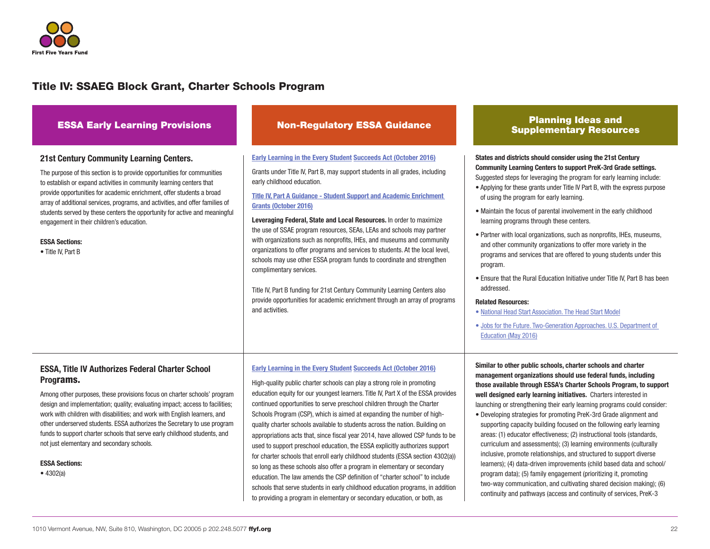

| <b>ESSA Early Learning Provisions</b>                                                                                                                                                                                                                                                                                                                                                                                                                                                                                                                      | <b>Non-Regulatory ESSA Guidance</b>                                                                                                                                                                                                                                                                                                                                                                                                                                                                                                                                                                                                                                                                                                                                                                                                                                                                                                                                                                                                               | <b>Planning Ideas and</b><br><b>Supplementary Resources</b>                                                                                                                                                                                                                                                                                                                                                                                                                                                                                                                                                                                                                                                                                                                                                                                                                                                                                                                                                       |
|------------------------------------------------------------------------------------------------------------------------------------------------------------------------------------------------------------------------------------------------------------------------------------------------------------------------------------------------------------------------------------------------------------------------------------------------------------------------------------------------------------------------------------------------------------|---------------------------------------------------------------------------------------------------------------------------------------------------------------------------------------------------------------------------------------------------------------------------------------------------------------------------------------------------------------------------------------------------------------------------------------------------------------------------------------------------------------------------------------------------------------------------------------------------------------------------------------------------------------------------------------------------------------------------------------------------------------------------------------------------------------------------------------------------------------------------------------------------------------------------------------------------------------------------------------------------------------------------------------------------|-------------------------------------------------------------------------------------------------------------------------------------------------------------------------------------------------------------------------------------------------------------------------------------------------------------------------------------------------------------------------------------------------------------------------------------------------------------------------------------------------------------------------------------------------------------------------------------------------------------------------------------------------------------------------------------------------------------------------------------------------------------------------------------------------------------------------------------------------------------------------------------------------------------------------------------------------------------------------------------------------------------------|
| <b>21st Century Community Learning Centers.</b><br>The purpose of this section is to provide opportunities for communities<br>to establish or expand activities in community learning centers that<br>provide opportunities for academic enrichment, offer students a broad<br>array of additional services, programs, and activities, and offer families of<br>students served by these centers the opportunity for active and meaningful<br>engagement in their children's education.<br><b>ESSA Sections:</b><br>• Title IV, Part B                     | Early Learning in the Every Student Succeeds Act (October 2016)<br>Grants under Title IV, Part B, may support students in all grades, including<br>early childhood education.<br><b>Title IV, Part A Guidance - Student Support and Academic Enrichment</b><br>Grants (October 2016)<br>Leveraging Federal, State and Local Resources. In order to maximize<br>the use of SSAE program resources, SEAs, LEAs and schools may partner<br>with organizations such as nonprofits, IHEs, and museums and community<br>organizations to offer programs and services to students. At the local level,<br>schools may use other ESSA program funds to coordinate and strengthen<br>complimentary services.<br>Title IV, Part B funding for 21st Century Community Learning Centers also<br>provide opportunities for academic enrichment through an array of programs<br>and activities.                                                                                                                                                                 | States and districts should consider using the 21st Century<br><b>Community Learning Centers to support PreK-3rd Grade settings.</b><br>Suggested steps for leveraging the program for early learning include:<br>• Applying for these grants under Title IV Part B, with the express purpose<br>of using the program for early learning.<br>• Maintain the focus of parental involvement in the early childhood<br>learning programs through these centers.<br>• Partner with local organizations, such as nonprofits, IHEs, museums,<br>and other community organizations to offer more variety in the<br>programs and services that are offered to young students under this<br>program.<br>• Ensure that the Rural Education Initiative under Title IV, Part B has been<br>addressed.<br><b>Related Resources:</b><br>• National Head Start Association. The Head Start Model<br>. Jobs for the Future. Two-Generation Approaches. U.S. Department of<br>Education (May 2016)                                 |
| <b>ESSA, Title IV Authorizes Federal Charter School</b><br>Programs.<br>Among other purposes, these provisions focus on charter schools' program<br>design and implementation; quality; evaluating impact; access to facilities;<br>work with children with disabilities; and work with English learners, and<br>other underserved students. ESSA authorizes the Secretary to use program<br>funds to support charter schools that serve early childhood students, and<br>not just elementary and secondary schools.<br><b>ESSA Sections:</b><br>• 4302(a) | Early Learning in the Every Student Succeeds Act (October 2016)<br>High-quality public charter schools can play a strong role in promoting<br>education equity for our youngest learners. Title IV, Part X of the ESSA provides<br>continued opportunities to serve preschool children through the Charter<br>Schools Program (CSP), which is aimed at expanding the number of high-<br>quality charter schools available to students across the nation. Building on<br>appropriations acts that, since fiscal year 2014, have allowed CSP funds to be<br>used to support preschool education, the ESSA explicitly authorizes support<br>for charter schools that enroll early childhood students (ESSA section 4302(a))<br>so long as these schools also offer a program in elementary or secondary<br>education. The law amends the CSP definition of "charter school" to include<br>schools that serve students in early childhood education programs, in addition<br>to providing a program in elementary or secondary education, or both, as | Similar to other public schools, charter schools and charter<br>management organizations should use federal funds, including<br>those available through ESSA's Charter Schools Program, to support<br>well designed early learning initiatives. Charters interested in<br>launching or strengthening their early learning programs could consider:<br>• Developing strategies for promoting PreK-3rd Grade alignment and<br>supporting capacity building focused on the following early learning<br>areas: (1) educator effectiveness; (2) instructional tools (standards,<br>curriculum and assessments); (3) learning environments (culturally<br>inclusive, promote relationships, and structured to support diverse<br>learners); (4) data-driven improvements (child based data and school/<br>program data); (5) family engagement (prioritizing it, promoting<br>two-way communication, and cultivating shared decision making); (6)<br>continuity and pathways (access and continuity of services, PreK-3 |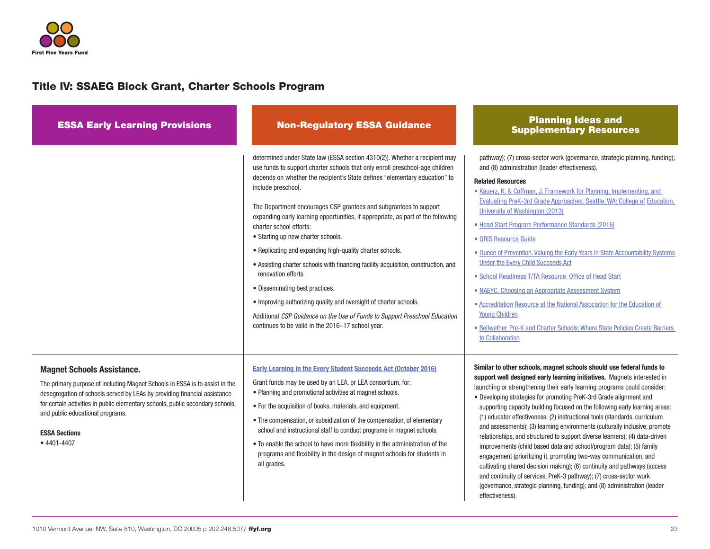

| <b>ESSA Early Learning Provisions</b>                                                                                                                                                                                                                                                                                                                          | <b>Non-Regulatory ESSA Guidance</b>                                                                                                                                                                                                                                                                                                                                                                                                                                                                                                                                                                                                                                                                                                                                                                                                                                                                           | <b>Planning Ideas and</b><br><b>Supplementary Resources</b>                                                                                                                                                                                                                                                                                                                                                                                                                                                                                                                                                                                                                                                                                                                                                                                                                                                                                                                                                               |
|----------------------------------------------------------------------------------------------------------------------------------------------------------------------------------------------------------------------------------------------------------------------------------------------------------------------------------------------------------------|---------------------------------------------------------------------------------------------------------------------------------------------------------------------------------------------------------------------------------------------------------------------------------------------------------------------------------------------------------------------------------------------------------------------------------------------------------------------------------------------------------------------------------------------------------------------------------------------------------------------------------------------------------------------------------------------------------------------------------------------------------------------------------------------------------------------------------------------------------------------------------------------------------------|---------------------------------------------------------------------------------------------------------------------------------------------------------------------------------------------------------------------------------------------------------------------------------------------------------------------------------------------------------------------------------------------------------------------------------------------------------------------------------------------------------------------------------------------------------------------------------------------------------------------------------------------------------------------------------------------------------------------------------------------------------------------------------------------------------------------------------------------------------------------------------------------------------------------------------------------------------------------------------------------------------------------------|
|                                                                                                                                                                                                                                                                                                                                                                | determined under State law (ESSA section 4310(2)). Whether a recipient may<br>use funds to support charter schools that only enroll preschool-age children<br>depends on whether the recipient's State defines "elementary education" to<br>include preschool.<br>The Department encourages CSP grantees and subgrantees to support<br>expanding early learning opportunities, if appropriate, as part of the following<br>charter school efforts:<br>• Starting up new charter schools.<br>• Replicating and expanding high-quality charter schools.<br>• Assisting charter schools with financing facility acquisition, construction, and<br>renovation efforts.<br>• Disseminating best practices.<br>• Improving authorizing quality and oversight of charter schools.<br>Additional CSP Guidance on the Use of Funds to Support Preschool Education<br>continues to be valid in the 2016-17 school year. | pathway); (7) cross-sector work (governance, strategic planning, funding);<br>and (8) administration (leader effectiveness).<br><b>Related Resources</b><br>• Kauerz, K. & Coffman, J. Framework for Planning, Implementing, and<br>Evaluating PreK-3rd Grade Approaches. Seattle, WA: College of Education,<br>University of Washington (2013)<br>· Head Start Program Performance Standards (2016)<br>• QRIS Resource Guide<br>• Ounce of Prevention. Valuing the Early Years in State Accountability Systems<br>Under the Every Child Succeeds Act<br>• School Readiness T/TA Resource. Office of Head Start<br>• NAEYC. Choosing an Appropriate Assessment System<br>• Accreditation Resource at the National Association for the Education of<br><b>Young Children</b><br>• Bellwether. Pre-K and Charter Schools: Where State Policies Create Barriers<br>to Collaboration                                                                                                                                          |
| <b>Magnet Schools Assistance.</b><br>The primary purpose of including Magnet Schools in ESSA is to assist in the<br>desegregation of schools served by LEAs by providing financial assistance<br>for certain activities in public elementary schools, public secondary schools,<br>and public educational programs.<br><b>ESSA Sections</b><br>$• 4401 - 4407$ | Early Learning in the Every Student Succeeds Act (October 2016)<br>Grant funds may be used by an LEA, or LEA consortium, for:<br>• Planning and promotional activities at magnet schools.<br>• For the acquisition of books, materials, and equipment.<br>• The compensation, or subsidization of the compensation, of elementary<br>school and instructional staff to conduct programs in magnet schools.<br>• To enable the school to have more flexibility in the administration of the<br>programs and flexibility in the design of magnet schools for students in<br>all grades.                                                                                                                                                                                                                                                                                                                         | Similar to other schools, magnet schools should use federal funds to<br>support well designed early learning initiatives. Magnets interested in<br>launching or strengthening their early learning programs could consider:<br>• Developing strategies for promoting PreK-3rd Grade alignment and<br>supporting capacity building focused on the following early learning areas:<br>(1) educator effectiveness; (2) instructional tools (standards, curriculum<br>and assessments); (3) learning environments (culturally inclusive, promote<br>relationships, and structured to support diverse learners); (4) data-driven<br>improvements (child based data and school/program data); (5) family<br>engagement (prioritizing it, promoting two-way communication, and<br>cultivating shared decision making); (6) continuity and pathways (access<br>and continuity of services, PreK-3 pathway); (7) cross-sector work<br>(governance, strategic planning, funding); and (8) administration (leader<br>effectiveness). |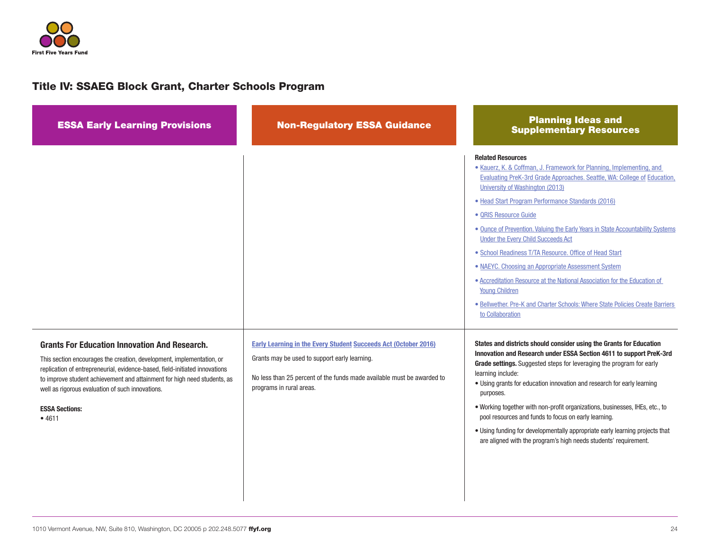

| <b>ESSA Early Learning Provisions</b>                                                                                                                                                                                                                                                                                                                                          | <b>Non-Regulatory ESSA Guidance</b>                                                                                                                                                                                           | <b>Planning Ideas and</b><br><b>Supplementary Resources</b>                                                                                                                                                                                                                                                                                                                                                                                                                                                                                                                                                                                                                                                                                     |
|--------------------------------------------------------------------------------------------------------------------------------------------------------------------------------------------------------------------------------------------------------------------------------------------------------------------------------------------------------------------------------|-------------------------------------------------------------------------------------------------------------------------------------------------------------------------------------------------------------------------------|-------------------------------------------------------------------------------------------------------------------------------------------------------------------------------------------------------------------------------------------------------------------------------------------------------------------------------------------------------------------------------------------------------------------------------------------------------------------------------------------------------------------------------------------------------------------------------------------------------------------------------------------------------------------------------------------------------------------------------------------------|
|                                                                                                                                                                                                                                                                                                                                                                                |                                                                                                                                                                                                                               | <b>Related Resources</b><br>• Kauerz, K. & Coffman, J. Framework for Planning, Implementing, and<br>Evaluating PreK-3rd Grade Approaches. Seattle, WA: College of Education<br>University of Washington (2013)<br>· Head Start Program Performance Standards (2016)<br>• QRIS Resource Guide<br>. Ounce of Prevention. Valuing the Early Years in State Accountability Systems<br>Under the Every Child Succeeds Act<br>• School Readiness T/TA Resource. Office of Head Start<br>• NAEYC. Choosing an Appropriate Assessment System<br>• Accreditation Resource at the National Association for the Education of<br><b>Young Children</b><br>· Bellwether. Pre-K and Charter Schools: Where State Policies Create Barriers<br>to Collaboration |
| <b>Grants For Education Innovation And Research.</b><br>This section encourages the creation, development, implementation, or<br>replication of entrepreneurial, evidence-based, field-initiated innovations<br>to improve student achievement and attainment for high need students, as<br>well as rigorous evaluation of such innovations.<br><b>ESSA Sections:</b><br>•4611 | <b>Early Learning in the Every Student Succeeds Act (October 2016)</b><br>Grants may be used to support early learning.<br>No less than 25 percent of the funds made available must be awarded to<br>programs in rural areas. | States and districts should consider using the Grants for Education<br>Innovation and Research under ESSA Section 4611 to support PreK-3rd<br>Grade settings. Suggested steps for leveraging the program for early<br>learning include:<br>. Using grants for education innovation and research for early learning<br>purposes.<br>. Working together with non-profit organizations, businesses, IHEs, etc., to<br>pool resources and funds to focus on early learning.<br>. Using funding for developmentally appropriate early learning projects that<br>are aligned with the program's high needs students' requirement.                                                                                                                     |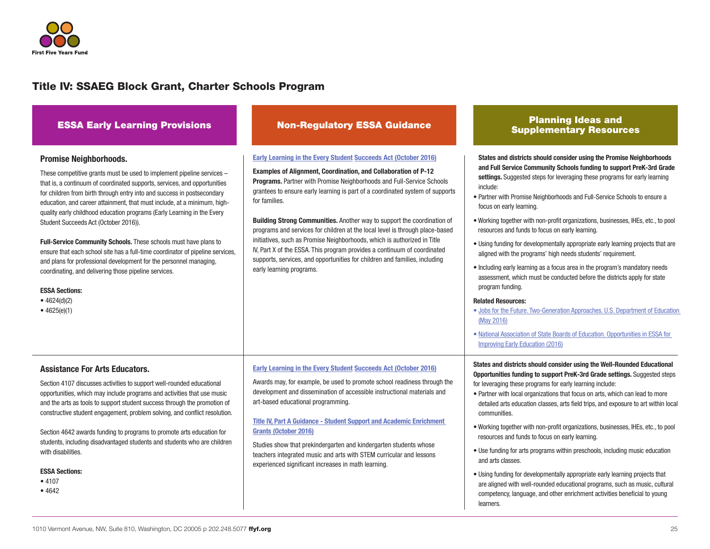

| <b>ESSA Early Learning Provisions</b>                                                                                                                                                                                                                                                                                                                                                                                                                                                                                                                                                                                                                                                                                                                                                                           | <b>Non-Regulatory ESSA Guidance</b>                                                                                                                                                                                                                                                                                                                                                                                                                                                                                                                                                                                                                                                                                                              | <b>Planning Ideas and</b><br><b>Supplementary Resources</b>                                                                                                                                                                                                                                                                                                                                                                                                                                                                                                                                                                                                                                                                                                                                                                                                                                                                                                                                                                                                                          |
|-----------------------------------------------------------------------------------------------------------------------------------------------------------------------------------------------------------------------------------------------------------------------------------------------------------------------------------------------------------------------------------------------------------------------------------------------------------------------------------------------------------------------------------------------------------------------------------------------------------------------------------------------------------------------------------------------------------------------------------------------------------------------------------------------------------------|--------------------------------------------------------------------------------------------------------------------------------------------------------------------------------------------------------------------------------------------------------------------------------------------------------------------------------------------------------------------------------------------------------------------------------------------------------------------------------------------------------------------------------------------------------------------------------------------------------------------------------------------------------------------------------------------------------------------------------------------------|--------------------------------------------------------------------------------------------------------------------------------------------------------------------------------------------------------------------------------------------------------------------------------------------------------------------------------------------------------------------------------------------------------------------------------------------------------------------------------------------------------------------------------------------------------------------------------------------------------------------------------------------------------------------------------------------------------------------------------------------------------------------------------------------------------------------------------------------------------------------------------------------------------------------------------------------------------------------------------------------------------------------------------------------------------------------------------------|
| <b>Promise Neighborhoods.</b><br>These competitive grants must be used to implement pipeline services -<br>that is, a continuum of coordinated supports, services, and opportunities<br>for children from birth through entry into and success in postsecondary<br>education, and career attainment, that must include, at a minimum, high-<br>quality early childhood education programs (Early Learning in the Every<br>Student Succeeds Act (October 2016)).<br>Full-Service Community Schools. These schools must have plans to<br>ensure that each school site has a full-time coordinator of pipeline services,<br>and plans for professional development for the personnel managing,<br>coordinating, and delivering those pipeline services.<br><b>ESSA Sections:</b><br>• 4624(d)(2)<br>• $4625(e)(1)$ | Early Learning in the Every Student Succeeds Act (October 2016)<br><b>Examples of Alignment, Coordination, and Collaboration of P-12</b><br>Programs. Partner with Promise Neighborhoods and Full-Service Schools<br>grantees to ensure early learning is part of a coordinated system of supports<br>for families.<br>Building Strong Communities. Another way to support the coordination of<br>programs and services for children at the local level is through place-based<br>initiatives, such as Promise Neighborhoods, which is authorized in Title<br>IV, Part X of the ESSA. This program provides a continuum of coordinated<br>supports, services, and opportunities for children and families, including<br>early learning programs. | States and districts should consider using the Promise Neighborhoods<br>and Full Service Community Schools funding to support PreK-3rd Grade<br>settings. Suggested steps for leveraging these programs for early learning<br>include:<br>• Partner with Promise Neighborhoods and Full-Service Schools to ensure a<br>focus on early learning.<br>. Working together with non-profit organizations, businesses, IHEs, etc., to pool<br>resources and funds to focus on early learning.<br>• Using funding for developmentally appropriate early learning projects that are<br>aligned with the programs' high needs students' requirement.<br>• Including early learning as a focus area in the program's mandatory needs<br>assessment, which must be conducted before the districts apply for state<br>program funding.<br><b>Related Resources:</b><br>. Jobs for the Future. Two-Generation Approaches. U.S. Department of Education<br>(May 2016)<br>. National Association of State Boards of Education. Opportunities in ESSA for<br><b>Improving Early Education (2016)</b> |
| <b>Assistance For Arts Educators.</b><br>Section 4107 discusses activities to support well-rounded educational<br>opportunities, which may include programs and activities that use music<br>and the arts as tools to support student success through the promotion of<br>constructive student engagement, problem solving, and conflict resolution.<br>Section 4642 awards funding to programs to promote arts education for<br>students, including disadvantaged students and students who are children<br>with disabilities.<br><b>ESSA Sections:</b><br>• 4107<br>•4642                                                                                                                                                                                                                                     | <b>Early Learning in the Every Student Succeeds Act (October 2016)</b><br>Awards may, for example, be used to promote school readiness through the<br>development and dissemination of accessible instructional materials and<br>art-based educational programming.<br><b>Title IV, Part A Guidance - Student Support and Academic Enrichment</b><br>Grants (October 2016)<br>Studies show that prekindergarten and kindergarten students whose<br>teachers integrated music and arts with STEM curricular and lessons<br>experienced significant increases in math learning.                                                                                                                                                                    | States and districts should consider using the Well-Rounded Educational<br>Opportunities funding to support PreK-3rd Grade settings. Suggested steps<br>for leveraging these programs for early learning include:<br>• Partner with local organizations that focus on arts, which can lead to more<br>detailed arts education classes, arts field trips, and exposure to art within local<br>communities.<br>. Working together with non-profit organizations, businesses, IHEs, etc., to pool<br>resources and funds to focus on early learning.<br>• Use funding for arts programs within preschools, including music education<br>and arts classes.<br>• Using funding for developmentally appropriate early learning projects that<br>are aligned with well-rounded educational programs, such as music, cultural<br>competency, language, and other enrichment activities beneficial to young<br>learners.                                                                                                                                                                      |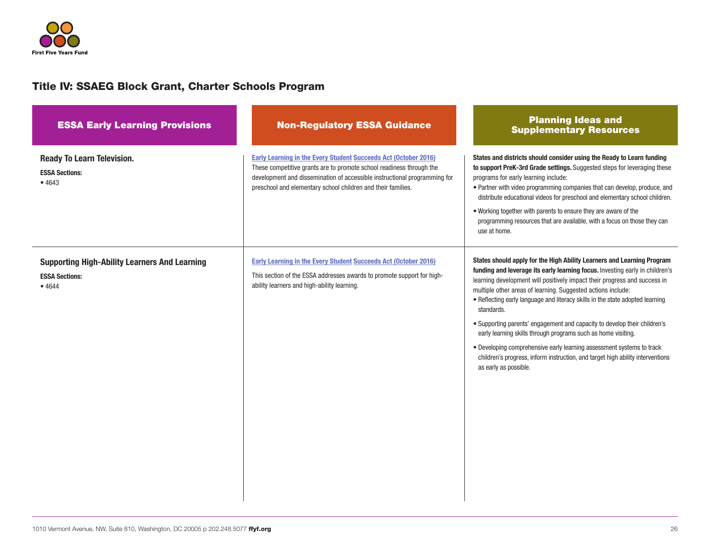

| <b>ESSA Early Learning Provisions</b>                                                  | <b>Non-Regulatory ESSA Guidance</b>                                                                                                                                                                                                                                                  | <b>Planning Ideas and</b><br><b>Supplementary Resources</b>                                                                                                                                                                                                                                                                                                                                                                                                                                                                                                                                                                                                                                                                          |
|----------------------------------------------------------------------------------------|--------------------------------------------------------------------------------------------------------------------------------------------------------------------------------------------------------------------------------------------------------------------------------------|--------------------------------------------------------------------------------------------------------------------------------------------------------------------------------------------------------------------------------------------------------------------------------------------------------------------------------------------------------------------------------------------------------------------------------------------------------------------------------------------------------------------------------------------------------------------------------------------------------------------------------------------------------------------------------------------------------------------------------------|
| <b>Ready To Learn Television.</b><br><b>ESSA Sections:</b><br>•4643                    | Early Learning in the Every Student Succeeds Act (October 2016)<br>These competitive grants are to promote school readiness through the<br>development and dissemination of accessible instructional programming for<br>preschool and elementary school children and their families. | States and districts should consider using the Ready to Learn funding<br>to support PreK-3rd Grade settings. Suggested steps for leveraging these<br>programs for early learning include:<br>· Partner with video programming companies that can develop, produce, and<br>distribute educational videos for preschool and elementary school children.<br>. Working together with parents to ensure they are aware of the<br>programming resources that are available, with a focus on those they can<br>use at home.                                                                                                                                                                                                                 |
| <b>Supporting High-Ability Learners And Learning</b><br><b>ESSA Sections:</b><br>•4644 | <b>Early Learning in the Every Student Succeeds Act (October 2016)</b><br>This section of the ESSA addresses awards to promote support for high-<br>ability learners and high-ability learning.                                                                                      | States should apply for the High Ability Learners and Learning Program<br>funding and leverage its early learning focus. Investing early in children's<br>learning development will positively impact their progress and success in<br>multiple other areas of learning. Suggested actions include:<br>. Reflecting early language and literacy skills in the state adopted learning<br>standards.<br>• Supporting parents' engagement and capacity to develop their children's<br>early learning skills through programs such as home visiting.<br>• Developing comprehensive early learning assessment systems to track<br>children's progress, inform instruction, and target high ability interventions<br>as early as possible. |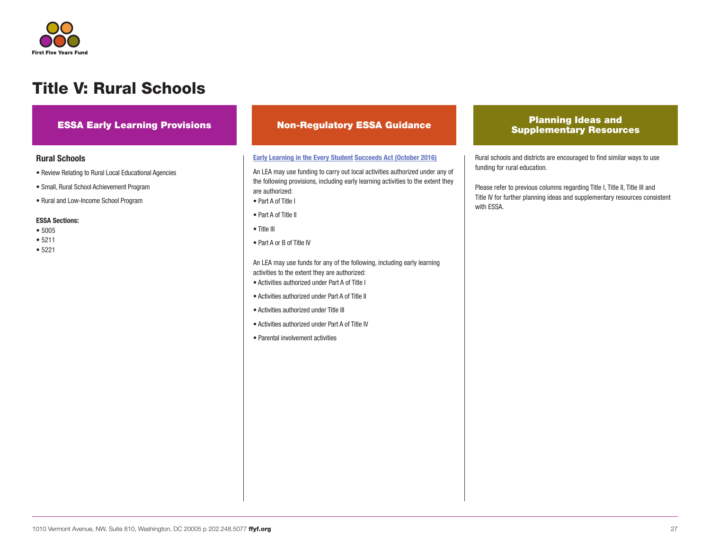

## Title V: Rural Schools

### Rural Schools

- Review Relating to Rural Local Educational Agencies
- Small, Rural School Achievement Program
- Rural and Low-Income School Program

#### ESSA Sections:

- 5005
- 5211
- 5221

#### [Early Learning in the Every Student](https://www2.ed.gov/policy/elsec/leg/essa/essaelguidance10202016.pdf) Succeeds Act (October 2016)

An LEA may use funding to carry out local activities authorized under any of the following provisions, including early learning activities to the extent they are authorized:

- Part A of Title I
- Part A of Title II
- Title III
- Part A or B of Title IV

An LEA may use funds for any of the following, including early learning activities to the extent they are authorized:

- Activities authorized under Part A of Title I
- Activities authorized under Part A of Title II
- Activities authorized under Title III
- Activities authorized under Part A of Title IV
- Parental involvement activities

### ESSA Early Learning Provisions Non-Regulatory ESSA Guidance Planning Ideas and Supplementary Resources

Rural schools and districts are encouraged to find similar ways to use funding for rural education.

Please refer to previous columns regarding Title I, Title II, Title III and Title IV for further planning ideas and supplementary resources consistent with ESSA.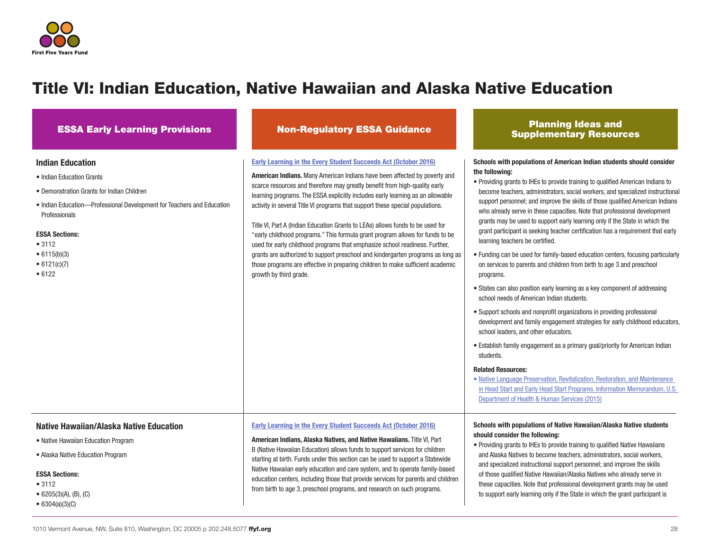

## Title VI: Indian Education, Native Hawaiian and Alaska Native Education

### Indian Education

- Indian Education Grants
- Demonstration Grants for Indian Children
- Indian Education—Professional Development for Teachers and Education Professionals

#### ESSA Sections:

- 3112
- 6115(b)(3)
- 6121(c)(7)
- 6122

#### **Early Learning in the Every**

ESSA Early Learning Provisions Non-Regulatory ESSA Guidance Planning Ideas and Supplementary Resources

to support early learning only if the State in which the grant participant is

| Early Learning in the Every Student Succeeds Act (October 2016)<br><b>American Indians.</b> Many American Indians have been affected by poverty and<br>scarce resources and therefore may greatly benefit from high-quality early<br>learning programs. The ESSA explicitly includes early learning as an allowable<br>activity in several Title VI programs that support these special populations.<br>Title VI, Part A (Indian Education Grants to LEAs) allows funds to be used for<br>"early childhood programs." This formula grant program allows for funds to be<br>used for early childhood programs that emphasize school readiness. Further,<br>grants are authorized to support preschool and kindergarten programs as long as<br>those programs are effective in preparing children to make sufficient academic<br>growth by third grade. | Schools with populations of American Indian students should consider<br>the following:<br>• Providing grants to IHEs to provide training to qualified American Indians to<br>become teachers, administrators, social workers, and specialized instructional<br>support personnel; and improve the skills of those qualified American Indians<br>who already serve in these capacities. Note that professional development<br>grants may be used to support early learning only if the State in which the<br>grant participant is seeking teacher certification has a requirement that early<br>learning teachers be certified.<br>• Funding can be used for family-based education centers, focusing particularly<br>on services to parents and children from birth to age 3 and preschool<br>programs.<br>• States can also position early learning as a key component of addressing<br>school needs of American Indian students.<br>• Support schools and nonprofit organizations in providing professional<br>development and family engagement strategies for early childhood educators,<br>school leaders, and other educators.<br>• Establish family engagement as a primary goal/priority for American Indian<br>students.<br><b>Related Resources:</b><br>• Native Language Preservation, Revitalization, Restoration, and Maintenance<br>in Head Start and Early Head Start Programs. Information Memorandum, U.S.<br>Department of Health & Human Services (2015) |
|-------------------------------------------------------------------------------------------------------------------------------------------------------------------------------------------------------------------------------------------------------------------------------------------------------------------------------------------------------------------------------------------------------------------------------------------------------------------------------------------------------------------------------------------------------------------------------------------------------------------------------------------------------------------------------------------------------------------------------------------------------------------------------------------------------------------------------------------------------|-----------------------------------------------------------------------------------------------------------------------------------------------------------------------------------------------------------------------------------------------------------------------------------------------------------------------------------------------------------------------------------------------------------------------------------------------------------------------------------------------------------------------------------------------------------------------------------------------------------------------------------------------------------------------------------------------------------------------------------------------------------------------------------------------------------------------------------------------------------------------------------------------------------------------------------------------------------------------------------------------------------------------------------------------------------------------------------------------------------------------------------------------------------------------------------------------------------------------------------------------------------------------------------------------------------------------------------------------------------------------------------------------------------------------------------------------------------------------------|
| Early Learning in the Every Student Succeeds Act (October 2016)<br>American Indians, Alaska Natives, and Native Hawaiians. Title VI, Part<br>B (Native Hawaiian Education) allows funds to support services for children<br>starting at birth. Funds under this section can be used to support a Statewide<br>Native Hawaiian early education and care system, and to operate family-based<br>education centers, including those that provide services for parents and children<br>from birth to age 3, preschool programs, and research on such programs.                                                                                                                                                                                                                                                                                            | Schools with populations of Native Hawaiian/Alaska Native students<br>should consider the following:<br>• Providing grants to IHEs to provide training to qualified Native Hawaiians<br>and Alaska Natives to become teachers, administrators, social workers,<br>and specialized instructional support personnel; and improve the skills<br>of those qualified Native Hawaiian/Alaska Natives who already serve in<br>these capacities. Note that professional development grants may be used                                                                                                                                                                                                                                                                                                                                                                                                                                                                                                                                                                                                                                                                                                                                                                                                                                                                                                                                                                              |

#### Native Hawaiian/Alaska Native Education

- Native Hawaiian Education Program
- Alaska Native Education Program

#### ESSA Sections:

- 3112
- 6205(3)(A), (B), (C)
- 6304(a)(3)(C)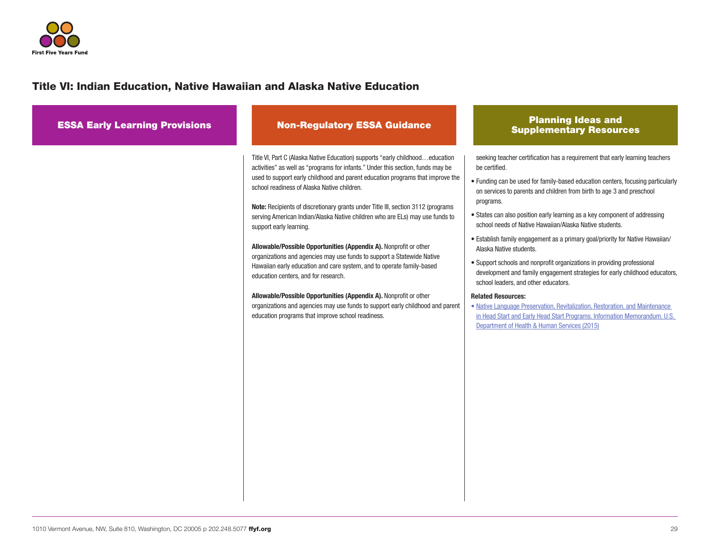

## Title VI: Indian Education, Native Hawaiian and Alaska Native Education

| <b>ESSA Early Learning Provisions</b> | <b>Non-Regulatory ESSA Guidance</b>                                                                                                                                                                                                                                                                                                                                                                                                                                                                                                                                                                                                                                                                                                                                                                                                                                                                                                                                          | <b>Planning Ideas and</b><br><b>Supplementary Resources</b>                                                                                                                                                                                                                                                                                                                                                                                                                                                                                                                                                                                                                                                                                                                                                                                                                                                                                                             |
|---------------------------------------|------------------------------------------------------------------------------------------------------------------------------------------------------------------------------------------------------------------------------------------------------------------------------------------------------------------------------------------------------------------------------------------------------------------------------------------------------------------------------------------------------------------------------------------------------------------------------------------------------------------------------------------------------------------------------------------------------------------------------------------------------------------------------------------------------------------------------------------------------------------------------------------------------------------------------------------------------------------------------|-------------------------------------------------------------------------------------------------------------------------------------------------------------------------------------------------------------------------------------------------------------------------------------------------------------------------------------------------------------------------------------------------------------------------------------------------------------------------------------------------------------------------------------------------------------------------------------------------------------------------------------------------------------------------------------------------------------------------------------------------------------------------------------------------------------------------------------------------------------------------------------------------------------------------------------------------------------------------|
|                                       | Title VI, Part C (Alaska Native Education) supports "early childhoodeducation<br>activities" as well as "programs for infants." Under this section, funds may be<br>used to support early childhood and parent education programs that improve the<br>school readiness of Alaska Native children.<br>Note: Recipients of discretionary grants under Title III, section 3112 (programs<br>serving American Indian/Alaska Native children who are ELs) may use funds to<br>support early learning.<br>Allowable/Possible Opportunities (Appendix A). Nonprofit or other<br>organizations and agencies may use funds to support a Statewide Native<br>Hawaiian early education and care system, and to operate family-based<br>education centers, and for research.<br>Allowable/Possible Opportunities (Appendix A). Nonprofit or other<br>organizations and agencies may use funds to support early childhood and parent<br>education programs that improve school readiness. | seeking teacher certification has a requirement that early learning teachers<br>be certified.<br>• Funding can be used for family-based education centers, focusing particularly<br>on services to parents and children from birth to age 3 and preschool<br>programs.<br>• States can also position early learning as a key component of addressing<br>school needs of Native Hawaiian/Alaska Native students.<br>• Establish family engagement as a primary goal/priority for Native Hawaiian/<br>Alaska Native students.<br>• Support schools and nonprofit organizations in providing professional<br>development and family engagement strategies for early childhood educators,<br>school leaders, and other educators.<br><b>Related Resources:</b><br>. Native Language Preservation, Revitalization, Restoration, and Maintenance<br>in Head Start and Early Head Start Programs. Information Memorandum, U.S.<br>Department of Health & Human Services (2015) |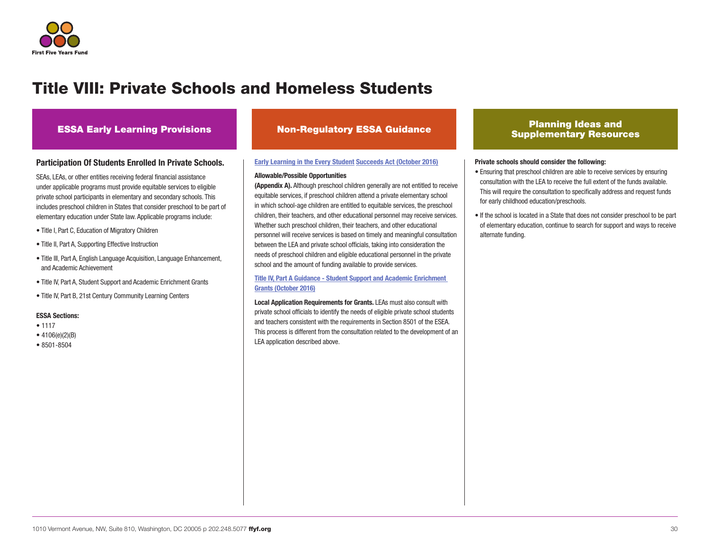

## Title VIII: Private Schools and Homeless Students

### **ESSA Early Learning Provisions Non-Regulatory ESSA Guidance**

### Participation Of Students Enrolled In Private Schools.

SEAs, LEAs, or other entities receiving federal financial assistance under applicable programs must provide equitable services to eligible private school participants in elementary and secondary schools. This includes preschool children in States that consider preschool to be part of elementary education under State law. Applicable programs include:

- Title I, Part C, Education of Migratory Children
- Title II, Part A, Supporting Effective Instruction
- Title III, Part A, English Language Acquisition, Language Enhancement, and Academic Achievement
- Title IV, Part A, Student Support and Academic Enrichment Grants
- Title IV, Part B, 21st Century Community Learning Centers

#### ESSA Sections:

- 1117
- 4106(e)(2)(B)
- 8501-8504

#### [Early Learning in the Every Student](https://www2.ed.gov/policy/elsec/leg/essa/essaelguidance10202016.pdf) Succeeds Act (October 2016)

#### Allowable/Possible Opportunities

(Appendix A). Although preschool children generally are not entitled to receive equitable services, if preschool children attend a private elementary school in which school-age children are entitled to equitable services, the preschool children, their teachers, and other educational personnel may receive services. Whether such preschool children, their teachers, and other educational personnel will receive services is based on timely and meaningful consultation between the LEA and private school officials, taking into consideration the needs of preschool children and eligible educational personnel in the private school and the amount of funding available to provide services.

[Title IV, Part A Guidance - Student Support and Academic Enrichment](https://www2.ed.gov/policy/elsec/leg/essa/essassaegrantguid10212016.pdf)  [Grants \(October 2016\)](https://www2.ed.gov/policy/elsec/leg/essa/essassaegrantguid10212016.pdf)

Local Application Requirements for Grants. LEAs must also consult with private school officials to identify the needs of eligible private school students and teachers consistent with the requirements in Section 8501 of the ESEA. This process is different from the consultation related to the development of an LEA application described above.

### Planning Ideas and Supplementary Resources

#### Private schools should consider the following:

- Ensuring that preschool children are able to receive services by ensuring consultation with the LEA to receive the full extent of the funds available. This will require the consultation to specifically address and request funds for early childhood education/preschools.
- If the school is located in a State that does not consider preschool to be part of elementary education, continue to search for support and ways to receive alternate funding.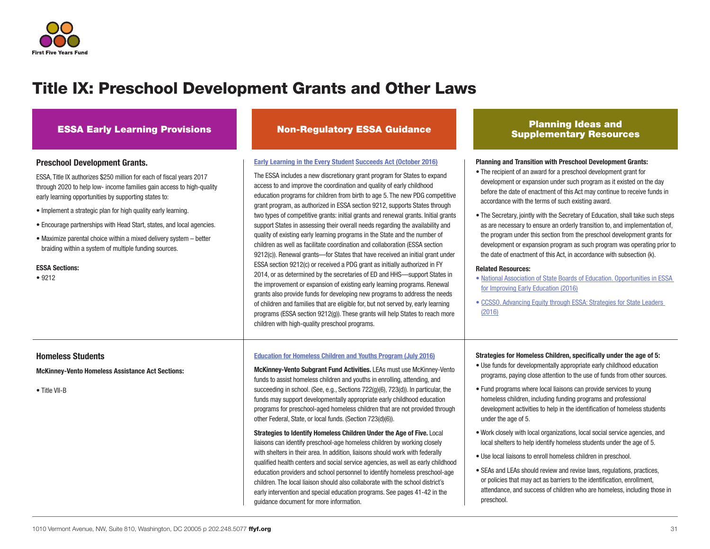

## Title IX: Preschool Development Grants and Other Laws

#### Preschool Development Grants.

ESSA, Title IX authorizes \$250 million for each of fiscal years 2017 through 2020 to help low- income families gain access to high-quality early learning opportunities by supporting states to:

- Implement a strategic plan for high quality early learning.
- Encourage partnerships with Head Start, states, and local agencies.
- Maximize parental choice within a mixed delivery system better braiding within a system of multiple funding sources.

#### ESSA Sections:

• 9212

#### [Early Learning in the Every Student](https://www2.ed.gov/policy/elsec/leg/essa/essaelguidance10202016.pdf) Succeeds Act (October 2016)

The ESSA includes a new discretionary grant program for States to expand access to and improve the coordination and quality of early childhood education programs for children from birth to age 5. The new PDG competitive grant program, as authorized in ESSA section 9212, supports States through two types of competitive grants: initial grants and renewal grants. Initial grants support States in assessing their overall needs regarding the availability and quality of existing early learning programs in the State and the number of children as well as facilitate coordination and collaboration (ESSA section 9212(c)). Renewal grants—for States that have received an initial grant under ESSA section 9212(c) or received a PDG grant as initially authorized in FY 2014, or as determined by the secretaries of ED and HHS—support States in the improvement or expansion of existing early learning programs. Renewal grants also provide funds for developing new programs to address the needs of children and families that are eligible for, but not served by, early learning programs (ESSA section 9212(g)). These grants will help States to reach more children with high-quality preschool programs.

#### [Education for Homeless Children and Youths Program \(July 2016\)](https://www2.ed.gov/policy/elsec/leg/essa/160240ehcyguidance072716.pdf)

McKinney-Vento Subgrant Fund Activities. LEAs must use McKinney-Vento funds to assist homeless children and youths in enrolling, attending, and succeeding in school. (See, e.g., Sections 722(g)(6), 723(d)). In particular, the funds may support developmentally appropriate early childhood education programs for preschool-aged homeless children that are not provided through other Federal, State, or local funds. (Section 723(d)(6)).

Strategies to Identify Homeless Children Under the Age of Five. Local liaisons can identify preschool-age homeless children by working closely with shelters in their area. In addition, liaisons should work with federally qualified health centers and social service agencies, as well as early childhood education providers and school personnel to identify homeless preschool-age children. The local liaison should also collaborate with the school district's early intervention and special education programs. See pages 41-42 in the guidance document for more information.

### ESSA Early Learning Provisions Non-Regulatory ESSA Guidance Planning Ideas and Supplementary Resources

#### Planning and Transition with Preschool Development Grants:

- The recipient of an award for a preschool development grant for development or expansion under such program as it existed on the day before the date of enactment of this Act may continue to receive funds in accordance with the terms of such existing award.
- The Secretary, jointly with the Secretary of Education, shall take such steps as are necessary to ensure an orderly transition to, and implementation of, the program under this section from the preschool development grants for development or expansion program as such program was operating prior to the date of enactment of this Act, in accordance with subsection (k).

#### Related Resources:

- [National Association of State Boards of Education. Opportunities in ESSA](http://www.nasbe.org/wp-content/uploads/Dichter_ESSAECE-Final.pdf)  [for Improving Early Education \(2016\)](http://www.nasbe.org/wp-content/uploads/Dichter_ESSAECE-Final.pdf)
- [CCSSO. Advancing Equity through ESSA: Strategies for State Leaders](http://www.ccsso.org/Documents/2016/ESSA/AdvancingEquityThroughESSA101316.pdf)  [\(2016\)](http://www.ccsso.org/Documents/2016/ESSA/AdvancingEquityThroughESSA101316.pdf)

#### Strategies for Homeless Children, specifically under the age of 5:

- Use funds for developmentally appropriate early childhood education programs, paying close attention to the use of funds from other sources.
- Fund programs where local liaisons can provide services to young homeless children, including funding programs and professional development activities to help in the identification of homeless students under the age of 5.
- Work closely with local organizations, local social service agencies, and local shelters to help identify homeless students under the age of 5.
- Use local liaisons to enroll homeless children in preschool.
- SEAs and LEAs should review and revise laws, regulations, practices, or policies that may act as barriers to the identification, enrollment, attendance, and success of children who are homeless, including those in preschool.

### Homeless Students

McKinney-Vento Homeless Assistance Act Sections:

• Title VII-B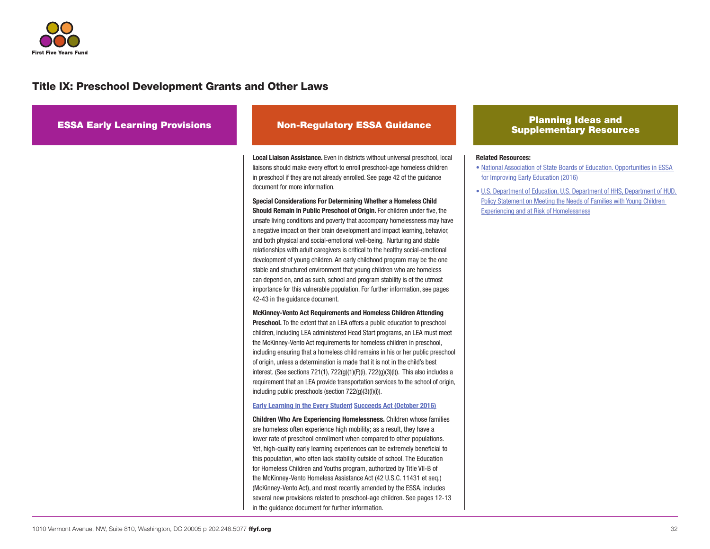

## Title IX: Preschool Development Grants and Other Laws

| <b>ESSA Early Learning Provisions</b> | <b>Non-Regulatory ESSA Guidance</b>                                                                                                                                                                                                                                                                                                                                                                                                                                                                                                                                                                                                                                                                                                                                                                                                                                                                                                                                                                                                                                                                                   | <b>Planning Ideas and</b><br><b>Supplementary Resources</b>                                                                                                                                                                                                                                                                                               |
|---------------------------------------|-----------------------------------------------------------------------------------------------------------------------------------------------------------------------------------------------------------------------------------------------------------------------------------------------------------------------------------------------------------------------------------------------------------------------------------------------------------------------------------------------------------------------------------------------------------------------------------------------------------------------------------------------------------------------------------------------------------------------------------------------------------------------------------------------------------------------------------------------------------------------------------------------------------------------------------------------------------------------------------------------------------------------------------------------------------------------------------------------------------------------|-----------------------------------------------------------------------------------------------------------------------------------------------------------------------------------------------------------------------------------------------------------------------------------------------------------------------------------------------------------|
|                                       | <b>Local Liaison Assistance.</b> Even in districts without universal preschool, local<br>liaisons should make every effort to enroll preschool-age homeless children<br>in preschool if they are not already enrolled. See page 42 of the guidance<br>document for more information.<br>Special Considerations For Determining Whether a Homeless Child<br>Should Remain in Public Preschool of Origin. For children under five, the<br>unsafe living conditions and poverty that accompany homelessness may have<br>a negative impact on their brain development and impact learning, behavior,<br>and both physical and social-emotional well-being. Nurturing and stable<br>relationships with adult caregivers is critical to the healthy social-emotional<br>development of young children. An early childhood program may be the one<br>stable and structured environment that young children who are homeless<br>can depend on, and as such, school and program stability is of the utmost<br>importance for this vulnerable population. For further information, see pages<br>42-43 in the guidance document. | <b>Related Resources:</b><br>• National Association of State Boards of Education. Opportunities in ESSA<br>for Improving Early Education (2016)<br>• U.S. Department of Education, U.S. Department of HHS, Department of HUD.<br>Policy Statement on Meeting the Needs of Families with Young Children<br><b>Experiencing and at Risk of Homelessness</b> |
|                                       | <b>McKinney-Vento Act Requirements and Homeless Children Attending</b><br><b>Preschool.</b> To the extent that an LEA offers a public education to preschool<br>children, including LEA administered Head Start programs, an LEA must meet<br>the McKinney-Vento Act requirements for homeless children in preschool,<br>including ensuring that a homeless child remains in his or her public preschool<br>of origin, unless a determination is made that it is not in the child's best<br>interest. (See sections $721(1)$ , $722(g)(1)(F)(i)$ , $722(g)(3)(i)$ ). This also includes a<br>requirement that an LEA provide transportation services to the school of origin,<br>including public preschools (section 722(g)(3)(l)(i)).                                                                                                                                                                                                                                                                                                                                                                               |                                                                                                                                                                                                                                                                                                                                                           |
|                                       | <b>Early Learning in the Every Student Succeeds Act (October 2016)</b><br>Children Who Are Experiencing Homelessness. Children whose families<br>are homeless often experience high mobility; as a result, they have a<br>lower rate of preschool enrollment when compared to other populations.<br>Yet, high-quality early learning experiences can be extremely beneficial to<br>this population, who often lack stability outside of school. The Education<br>for Homeless Children and Youths program, authorized by Title VII-B of<br>the McKinney-Vento Homeless Assistance Act (42 U.S.C. 11431 et seq.)<br>(McKinney-Vento Act), and most recently amended by the ESSA, includes<br>several new provisions related to preschool-age children. See pages 12-13<br>in the quidance document for further information.                                                                                                                                                                                                                                                                                            |                                                                                                                                                                                                                                                                                                                                                           |